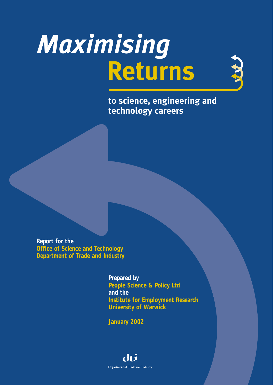# *Maximising* **Returns**

N.V.

**to science, engineering and technology careers**

**Report for the Office of Science and Technology Department of Trade and Industry**

> **Prepared by People Science & Policy Ltd and the Institute for Employment Research University of Warwick**

**January 2002**

# dti Department of Trade and Industry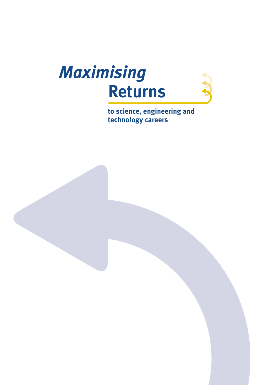

**to science, engineering and technology careers**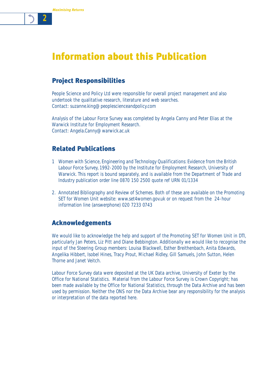# Information about this Publication

# Project Responsibilities

People Science and Policy Ltd were responsible for overall project management and also undertook the qualitative research, literature and web searches. Contact: suzanne.king@peoplescienceandpolicy.com

Analysis of the Labour Force Survey was completed by Angela Canny and Peter Elias at the Warwick Institute for Employment Research. Contact: Angela.Canny@warwick.ac.uk

# Related Publications

- 1 *Women with Science, Engineering and Technology Qualifications: Evidence from the British Labour Force Survey, 1992-2000* by the Institute for Employment Research, University of Warwick. This report is bound separately, and is available from the Department of Trade and Industry publication order line 0870 150 2500 quote ref URN 01/1334
- 2. *Annotated Bibliography* and *Review of Schemes*. Both of these are available on the Promoting SET for Women Unit website: www.set4women.gov.uk or on request from the 24-hour information line (answerphone) 020 7233 0743

# Acknowledgements

We would like to acknowledge the help and support of the Promoting SET for Women Unit in DTI, particularly Jan Peters, Liz Pitt and Diane Bebbington. Additionally we would like to recognise the input of the Steering Group members: Louisa Blackwell, Esther Breithenbach, Anita Edwards, Angelika Hibbert, Isobel Hines, Tracy Prout, Michael Ridley, Gill Samuels, John Sutton, Helen Thorne and Janet Veitch.

Labour Force Survey data were deposited at the UK Data archive, University of Exeter by the Office for National Statistics. Material from the Labour Force Survey is Crown Copyright; has been made available by the Office for National Statistics, through the Data Archive and has been used by permission. Neither the ONS nor the Data Archive bear any responsibility for the analysis or interpretation of the data reported here.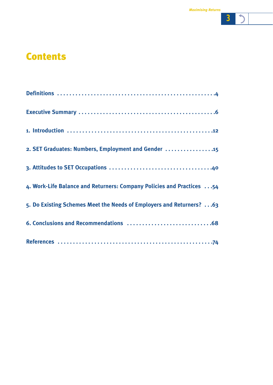

# **Contents**

| 2. SET Graduates: Numbers, Employment and Gender  15                  |
|-----------------------------------------------------------------------|
|                                                                       |
| 4. Work-Life Balance and Returners: Company Policies and Practices 54 |
| 5. Do Existing Schemes Meet the Needs of Employers and Returners? 63  |
|                                                                       |
|                                                                       |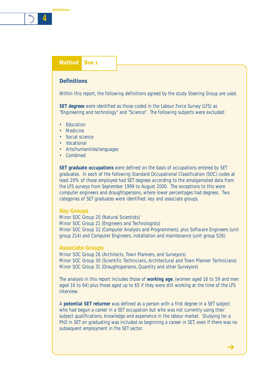# **Method Box 1**

### **Definitions**

Within this report, the following definitions agreed by the study Steering Group are used.

**SET degrees** were identified as those coded in the Labour Force Survey (LFS) as "Engineering and technology" and "Science". The following subjects were excluded:

- Education
- Medicine
- Social science
- Vocational
- Arts/humanities/languages
- Combined

**SET graduate occupations** were defined on the basis of occupations entered by SET graduates. In each of the following Standard Occupational Classification (SOC) codes at least 20% of those employed had SET degrees according to the amalgamated data from the LFS surveys from September 1999 to August 2000. The exceptions to this were computer engineers and draughtspersons, where lower percentages had degrees. Two categories of SET graduates were identified: key and associate groups.

### **Key Groups**

Minor SOC Group 20 (Natural Scientists) Minor SOC Group 21 (Engineers and Technologists) Minor SOC Group 32 (Computer Analysts and Programmers), plus Software Engineers (unit group 214) and Computer Engineers, installation and maintenance (unit group 526).

### **Associate Groups**

Minor SOC Group 26 (Architects, Town Planners, and Surveyors) Minor SOC Group 30 (Scientific Technicians, Architectural and Town Planner Technicians) Minor SOC Group 31 (Draughtspersons, Quantity and other Surveyors)

The analysis in this report includes those of **working age**, (women aged 16 to 59 and men aged 16 to 64) plus those aged up to 65 if they were still working at the time of the LFS interview.

A **potential SET returner** was defined as a person with a first degree in a SET subject who had begun a career in a SET occupation but who was not currently using their subject qualifications, knowledge and experience in the labour market. Studying for a PhD in SET on graduating was included as beginning a career in SET, even if there was no subsequent employment in the SET sector.

 $\rightarrow$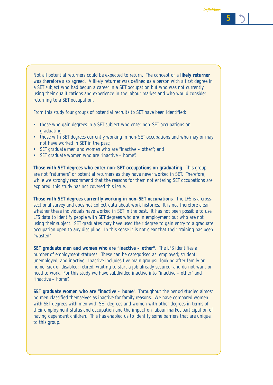Not all potential returners could be expected to return. The concept of a **likely returner** was therefore also agreed. A likely returner was defined as a person with a first degree in a SET subject who had begun a career in a SET occupation but who was not currently using their qualifications and experience in the labour market and who would consider returning to a SET occupation.

From this study four groups of potential recruits to SET have been identified:

- those who gain degrees in a SET subject who enter non-SET occupations on graduating;
- those with SET degrees currently working in non-SET occupations and who may or may not have worked in SET in the past;
- SET graduate men and women who are "inactive other"; and
- SET graduate women who are "inactive home".

**Those with SET degrees who enter non-SET occupations on graduating**. This group are not "returners" or potential returners as they have never worked in SET. Therefore, while we strongly recommend that the reasons for them not entering SET occupations are explored, this study has not covered this issue.

**Those with SET degrees currently working in non-SET occupations**. The LFS is a crosssectional survey and does not collect data about work histories. It is not therefore clear whether these individuals have worked in SET in the past. It has not been possible to use LFS data to identify people with SET degrees who are in employment but who are not using their subject. SET graduates may have used their degree to gain entry to a graduate occupation open to any discipline. In this sense it is not clear that their training has been "wasted".

**SET graduate men and women who are "inactive – other"**. The LFS identifies a number of employment statuses. These can be categorised as: employed; student; unemployed; and inactive. Inactive includes five main groups: looking after family or home; sick or disabled; retired; waiting to start a job already secured; and do not want or need to work. For this study we have subdivided inactive into "inactive – other" and "inactive – home".

**SET graduate women who are "inactive – home**". Throughout the period studied almost no men classified themselves as inactive for family reasons. We have compared women with SET degrees with men with SET degrees and women with other degrees in terms of their employment status and occupation and the impact on labour market participation of having dependent children. This has enabled us to identify some barriers that are unique to this group.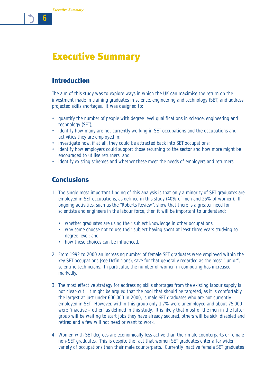# Introduction

The aim of this study was to explore ways in which the UK can maximise the return on the investment made in training graduates in science, engineering and technology (SET) and address projected skills shortages. It was designed to:

- quantify the number of people with degree level qualifications in science, engineering and technology (SET);
- identify how many are not currently working in SET occupations and the occupations and activities they are employed in;
- investigate how, if at all, they could be attracted back into SET occupations;
- identify how employers could support those returning to the sector and how more might be encouraged to utilise returners; and
- identify existing schemes and whether these meet the needs of employers and returners.

# Conclusions

- 1. The single most important finding of this analysis is that only a minority of SET graduates are employed in SET occupations, as defined in this study (40% of men and 25% of women). If ongoing activities, such as the "Roberts Review", show that there is a greater need for scientists and engineers in the labour force, then it will be important to understand:
	- whether graduates are using their subject knowledge in other occupations;
	- why some choose not to use their subject having spent at least three years studying to degree level; and
	- how these choices can be influenced.
- 2. From 1992 to 2000 an increasing number of female SET graduates were employed within the key SET occupations (see Definitions), save for that generally regarded as the most "junior", scientific technicians. In particular, the number of women in computing has increased markedly.
- 3. The most effective strategy for addressing skills shortages from the existing labour supply is not clear-cut. It might be argued that the pool that should be targeted, as it is comfortably the largest at just under 600,000 in 2000, is male SET graduates who are not currently employed in SET. However, within this group only 1.7% were unemployed and about 75,000 were "inactive – other" as defined in this study. It is likely that most of the men in the latter group will be waiting to start jobs they have already secured, others will be sick, disabled and retired and a few will not need or want to work.
- 4. Women with SET degrees are economically less active than their male counterparts or female non-SET graduates. This is despite the fact that women SET graduates enter a far wider variety of occupations than their male counterparts. Currently inactive female SET graduates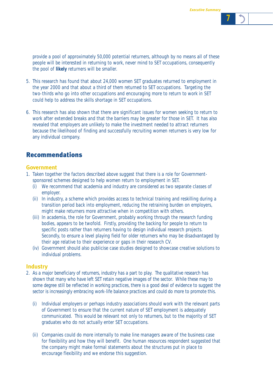provide a pool of approximately 50,000 potential returners, although by no means all of these people will be interested in returning to work, never mind to SET occupations, consequently the pool of **likely** returners will be smaller.

- 5. This research has found that about 24,000 women SET graduates returned to employment in the year 2000 and that about a third of them returned to SET occupations. Targeting the two-thirds who go into other occupations and encouraging more to return to work in SET could help to address the skills shortage in SET occupations.
- 6. This research has also shown that there are significant issues for women seeking to return to work after extended breaks and that the barriers may be greater for those in SET. It has also revealed that employers are unlikely to make the investment needed to attract returners because the likelihood of finding and successfully recruiting women returners is very low for any individual company.

# Recommendations

### **Government**

- 1. Taken together the factors described above suggest that there is a role for Governmentsponsored schemes designed to help women return to employment in SET.
	- (i) We recommend that academia and industry are considered as two separate classes of employer.
	- (ii) In industry, a scheme which provides access to technical training and reskilling during a transition period back into employment, reducing the retraining burden on employers, might make returners more attractive when in competition with others.
	- (iii) In academia, the role for Government, probably working through the research funding bodies, appears to be twofold. Firstly, providing the backing for people to return to specific posts rather than returners having to design individual research projects. Secondly, to ensure a level playing field for older returners who may be disadvantaged by their age relative to their experience or gaps in their research CV.
	- (iv) Government should also publicise case studies designed to showcase creative solutions to individual problems.

### **Industry**

- 2. As a major beneficiary of returners, industry has a part to play. The qualitative research has shown that many who have left SET retain negative images of the sector. While these may to some degree still be reflected in working practices, there is a good deal of evidence to suggest the sector is increasingly embracing work-life balance practices and could do more to promote this.
	- (i) Individual employers or perhaps industry associations should work with the relevant parts of Government to ensure that the current nature of SET employment is adequately communicated. This would be relevant not only to returners, but to the majority of SET graduates who do not actually enter SET occupations.
	- (ii) Companies could do more internally to make line managers aware of the business case for flexibility and how they will benefit. One human resources respondent suggested that the company might make formal statements about the structures put in place to encourage flexibility and we endorse this suggestion.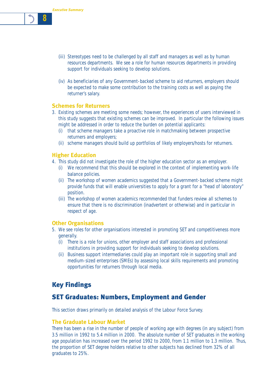- (iii) Stereotypes need to be challenged by all staff and managers as well as by human resources departments. We see a role for human resources departments in providing support for individuals seeking to develop solutions.
- (iv) As beneficiaries of any Government-backed scheme to aid returners, employers should be expected to make some contribution to the training costs as well as paying the returner's salary.

### **Schemes for Returners**

- 3. Existing schemes are meeting some needs; however, the experiences of users interviewed in this study suggests that existing schemes can be improved. In particular the following issues might be addressed in order to reduce the burden on potential applicants:
	- (i) that scheme managers take a proactive role in matchmaking between prospective returners and employers;
	- (ii) scheme managers should build up portfolios of likely employers/hosts for returners.

### **Higher Education**

- 4. This study did not investigate the role of the higher education sector as an employer.
	- (i) We recommend that this should be explored in the context of implementing work-life balance policies.
	- (ii) The workshop of women academics suggested that a Government-backed scheme might provide funds that will enable universities to apply for a grant for a "head of laboratory" position.
	- (iii) The workshop of women academics recommended that funders review all schemes to ensure that there is no discrimination (inadvertent or otherwise) and in particular in respect of age.

### **Other Organisations**

- 5. We see roles for other organisations interested in promoting SET and competitiveness more generally.
	- (i) There is a role for unions, other employer and staff associations and professional institutions in providing support for individuals seeking to develop solutions.
	- (ii) Business support intermediaries could play an important role in supporting small and medium-sized enterprises (SMEs) by assessing local skills requirements and promoting opportunities for returners through local media.

# Key Findings

# SET Graduates: Numbers, Employment and Gender

This section draws primarily on detailed analysis of the Labour Force Survey.

### **The Graduate Labour Market**

There has been a rise in the number of people of working age with degrees (in any subject) from 3.5 million in 1992 to 5.4 million in 2000. The absolute number of SET graduates in the working age population has increased over the period 1992 to 2000, from 1.1 million to 1.3 million. Thus, the proportion of SET degree holders relative to other subjects has declined from 32% of all graduates to 25%.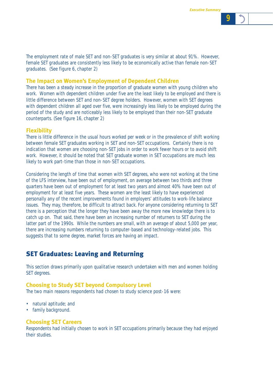The employment rate of male SET and non-SET graduates is very similar at about 91%. However, female SET graduates are consistently less likely to be economically active than female non-SET graduates. (See figure 6, chapter 2)

### **The Impact on Women's Employment of Dependent Children**

There has been a steady increase in the proportion of graduate women with young children who work. Women with dependent children under five are the least likely to be employed and there is little difference between SET and non-SET degree holders. However, women with SET degrees with dependent children all aged over five, were increasingly less likely to be employed during the period of the study and are noticeably less likely to be employed than their non-SET graduate counterparts. (See figure 16, chapter 2)

### **Flexibility**

There is little difference in the usual hours worked per week or in the prevalence of shift working between female SET graduates working in SET and non-SET occupations. Certainly there is no indication that women are choosing non-SET jobs in order to work fewer hours or to avoid shift work. However, it should be noted that SET graduate women in SET occupations are much less likely to work part-time than those in non-SET occupations.

Considering the length of time that women with SET degrees, who were not working at the time of the LFS interview, have been out of employment, on average between two thirds and three quarters have been out of employment for at least two years and almost 40% have been out of employment for at least five years. These women are the least likely to have experienced personally any of the recent improvements found in employers' attitudes to work-life balance issues. They may, therefore, be difficult to attract back. For anyone considering returning to SET there is a perception that the longer they have been away the more new knowledge there is to catch up on. That said, there have been an increasing number of returners to SET during the latter part of the 1990s. While the numbers are small, with an average of about 5,000 per year, there are increasing numbers returning to computer-based and technology-related jobs. This suggests that to some degree, market forces are having an impact.

### SET Graduates: Leaving and Returning

This section draws primarily upon qualitative research undertaken with men and women holding SET degrees.

### **Choosing to Study SET beyond Compulsory Level**

The two main reasons respondents had chosen to study science post-16 were:

- natural aptitude; and
- family background.

### **Choosing SET Careers**

Respondents had initially chosen to work in SET occupations primarily because they had enjoyed their studies.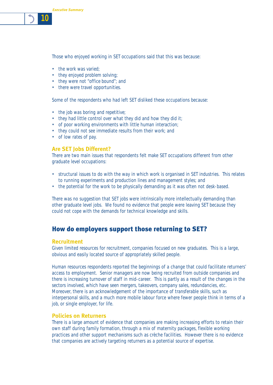Those who enjoyed working in SET occupations said that this was because:

- the work was varied;
- they enjoyed problem solving;
- they were not "*office bound*"; and
- there were travel opportunities.

Some of the respondents who had left SET disliked these occupations because:

- the job was boring and repetitive;
- they had little control over what they did and how they did it;
- of poor working environments with little human interaction;
- they could not see immediate results from their work; and
- of low rates of pay.

# **Are SET Jobs Different?**

There are two main issues that respondents felt make SET occupations different from other graduate level occupations:

- structural issues to do with the way in which work is organised in SET industries. This relates to running experiments and production lines and management styles; and
- the potential for the work to be physically demanding as it was often not desk-based.

There was no suggestion that SET jobs were intrinsically more intellectually demanding than other graduate level jobs. We found no evidence that people were leaving SET because they could not cope with the demands for technical knowledge and skills.

# How do employers support those returning to SET?

# **Recruitment**

Given limited resources for recruitment, companies focused on new graduates. This is a large, obvious and easily located source of appropriately skilled people.

Human resources respondents reported the beginnings of a change that could facilitate returners' access to employment. Senior managers are now being recruited from outside companies and there is increasing turnover of staff in mid-career. This is partly as a result of the changes in the sectors involved, which have seen mergers, takeovers, company sales, redundancies, etc. Moreover, there is an acknowledgement of the importance of transferable skills, such as interpersonal skills, and a much more mobile labour force where fewer people think in terms of a job, or single employer, for life.

# **Policies on Returners**

There is a large amount of evidence that companies are making increasing efforts to retain their own staff during family formation, through a mix of maternity packages, flexible working practices and other support mechanisms such as crèche facilities. However there is no evidence that companies are actively targeting returners as a potential source of expertise.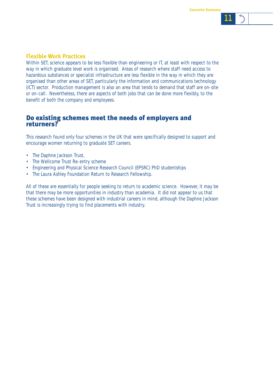### **Flexible Work Practices**

Within SET, science appears to be less flexible than engineering or IT, at least with respect to the way in which graduate level work is organised. Areas of research where staff need access to hazardous substances or specialist infrastructure are less flexible in the way in which they are organised than other areas of SET, particularly the information and communications technology (ICT) sector. Production management is also an area that tends to demand that staff are on-site or on-call. Nevertheless, there are aspects of both jobs that can be done more flexibly, to the benefit of both the company and employees.

## Do existing schemes meet the needs of employers and returners?

This research found only four schemes in the UK that were specifically designed to support and encourage women returning to graduate SET careers.

- The Daphne Jackson Trust,
- The Wellcome Trust Re-entry scheme
- Engineering and Physical Science Research Council (EPSRC) PhD studentships
- The Laura Ashley Foundation Return to Research Fellowship.

All of these are essentially for people seeking to return to academic science. However, it may be that there may be more opportunities in industry than academia. It did not appear to us that these schemes have been designed with industrial careers in mind, although the Daphne Jackson Trust is increasingly trying to find placements with industry.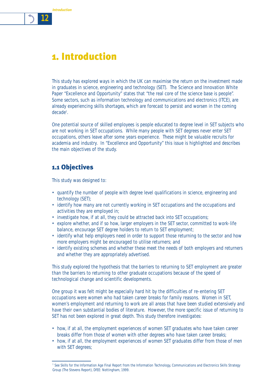*Introduction*

*12*



This study has explored ways in which the UK can maximise the return on the investment made in graduates in science, engineering and technology (SET). The Science and Innovation White Paper "Excellence and Opportunity" states that "the real core of the science base is people". Some sectors, such as information technology and communications and electronics (ITCE), are already experiencing skills shortages, which are forecast to persist and worsen in the coming decade<sup>1</sup>.

One potential source of skilled employees is people educated to degree level in SET subjects who are not working in SET occupations. While many people with SET degrees never enter SET occupations, others leave after some years experience. These might be valuable recruits for academia and industry. In "Excellence and Opportunity" this issue is highlighted and describes the main objectives of the study.

# 1.1 Objectives

This study was designed to:

- quantify the number of people with degree level qualifications in science, engineering and technology (SET);
- identify how many are not currently working in SET occupations and the occupations and activities they are employed in;
- investigate how, if at all, they could be attracted back into SET occupations;
- explore whether, and if so how, larger employers in the SET sector, committed to work-life balance, encourage SET degree holders to return to SET employment;
- identify what help employers need in order to support those returning to the sector and how more employers might be encouraged to utilise returners; and
- identify existing schemes and whether these meet the needs of both employers and returners and whether they are appropriately advertised.

This study explored the hypothesis that the barriers to returning to SET employment are greater than the barriers to returning to other graduate occupations because of the speed of technological change and scientific developments.

One group it was felt might be especially hard hit by the difficulties of re-entering SET occupations were women who had taken career breaks for family reasons. Women in SET, women's employment and returning to work are all areas that have been studied extensively and have their own substantial bodies of literature. However, the more specific issue of returning to SET has not been explored in great depth. This study therefore investigates:

- how, if at all, the employment experiences of women SET graduates who have taken career breaks differ from those of women with other degrees who have taken career breaks;
- how, if at all, the employment experiences of women SET graduates differ from those of men with SET degrees;

<sup>1</sup> See Skills for the Information Age Final Report from the Information Technology, Communications and Electronics Skills Strategy Group (The Stevens Report), DfEE: Nottingham, 1999.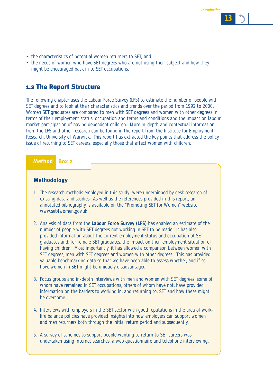- the characteristics of potential women returners to SET; and
- the needs of women who have SET degrees who are not using their subject and how they might be encouraged back in to SET occupations.

# 1.2 The Report Structure

The following chapter uses the Labour Force Survey (LFS) to estimate the number of people with SET degrees and to look at their characteristics and trends over the period from 1992 to 2000. Women SET graduates are compared to men with SET degrees and women with other degrees in terms of their employment status, occupation and terms and conditions and the impact on labour market participation of having dependent children. More in-depth and contextual information from the LFS and other research can be found in the report from the Institute for Employment Research, University of Warwick. This report has extracted the key points that address the policy issue of returning to SET careers, especially those that affect women with children.

### **Method Box 2**

### **Methodology**

- 1 The research methods employed in this study were underpinned by desk research of existing data and studies,. As well as the references provided in this report, an annotated bibliography is available on the "Promoting SET for Women" website www.set4women.gov.uk
- 2. Analysis of data from the **Labour Force Survey (LFS)** has enabled an estimate of the number of people with SET degrees not working in SET to be made. It has also provided information about the current employment status and occupation of SET graduates and, for female SET graduates, the impact on their employment situation of having children. Most importantly, it has allowed a comparison between women with SET degrees, men with SET degrees and women with other degrees. This has provided valuable benchmarking data so that we have been able to assess whether, and if so how, women in SET might be uniquely disadvantaged.
- 3. Focus groups and in-depth interviews with men and women with SET degrees, some of whom have remained in SET occupations, others of whom have not, have provided information on the barriers to working in, and returning to, SET and how these might be overcome.
- 4. Interviews with employers in the SET sector with good reputations in the area of worklife balance policies have provided insights into how employers can support women and men returners both through the initial return period and subsequently.
- 5. A survey of schemes to support people wanting to return to SET careers was undertaken using internet searches, a web questionnaire and telephone interviewing.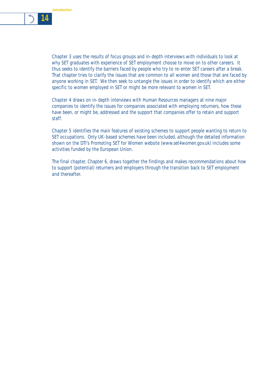

Chapter 3 uses the results of focus groups and in-depth interviews with individuals to look at why SET graduates with experience of SET employment choose to move on to other careers. It thus seeks to identify the barriers faced by people who try to re-enter SET careers after a break. That chapter tries to clarify the issues that are common to all women and those that are faced by anyone working in SET. We then seek to untangle the issues in order to identify which are either specific to women employed in SET or might be more relevant to women in SET.

Chapter 4 draws on in-depth interviews with Human Resources managers at nine major companies to identify the issues for companies associated with employing returners, how these have been, or might be, addressed and the support that companies offer to retain and support staff.

Chapter 5 identifies the main features of existing schemes to support people wanting to return to SET occupations. Only UK-based schemes have been included, although the detailed information shown on the DTI's Promoting SET for Women website (www.set4women.gov.uk) includes some activities funded by the European Union.

The final chapter, Chapter 6, draws together the findings and makes recommendations about how to support (potential) returners and employers through the transition back to SET employment and thereafter.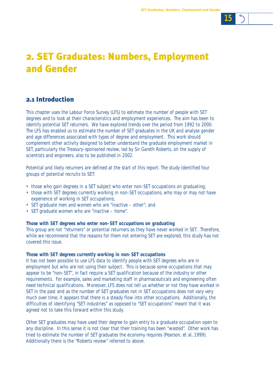# 2. SET Graduates: Numbers, Employment and Gender

# 2.1 Introduction

This chapter uses the Labour Force Survey (LFS) to estimate the number of people with SET degrees and to look at their characteristics and employment experiences. The aim has been to identify potential SET returners. We have explored trends over the period from 1992 to 2000. The LFS has enabled us to estimate the number of SET graduates in the UK and analyse gender and age differences associated with types of degree and employment. This work should complement other activity designed to better understand the graduate employment market in SET, particularly the Treasury-sponsored review, led by Sir Gareth Roberts, on the supply of scientists and engineers, also to be published in 2002.

Potential and likely returners are defined at the start of this report. The study identified four groups of potential recruits to SET:

- those who gain degrees in a SET subject who enter non-SET occupations on graduating;
- those with SET degrees currently working in non-SET occupations, who may or may not have experience of working in SET occupations;
- SET graduate men and women who are "inactive other"; and
- SET graduate women who are "inactive home".

### **Those with SET degrees who enter non-SET occupations on graduating**

This group are not "returners" or potential returners as they have never worked in SET. Therefore, while we recommend that the reasons for them not entering SET are explored, this study has not covered this issue.

### **Those with SET degrees currently working in non-SET occupations**

It has not been possible to use LFS data to identify people with SET degrees who are in employment but who are not using their subject. This is because some occupations that may appear to be "non-SET", in fact require a SET qualification because of the industry or other requirements. For example, sales and marketing staff in pharmaceuticals and engineering often need technical qualifications. Moreover, LFS does not tell us whether or not they have worked in SET in the past and as the number of SET graduates not in SET occupations does not vary very much over time, it appears that there is a steady flow into other occupations. Additionally, the difficulties of identifying "SET industries" as opposed to "SET occupations" meant that it was agreed not to take this forward within this study.

Other SET graduates may have used their degree to gain entry to a graduate occupation open to any discipline. In this sense it is not clear that their training has been "wasted". Other work has tried to estimate the number of SET graduates the economy requires (Pearson, et al, 1999). Additionally there is the "Roberts review" referred to above.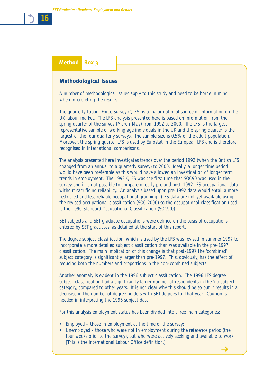# **Method Box 3**

### **Methodological Issues**

A number of methodological issues apply to this study and need to be borne in mind when interpreting the results.

The quarterly Labour Force Survey (QLFS) is a major national source of information on the UK labour market. The LFS analysis presented here is based on information from the spring quarter of the survey (March-May) from 1992 to 2000. The LFS is the largest representative sample of working age individuals in the UK and the spring quarter is the largest of the four quarterly surveys. The sample size is 0.5% of the adult population. Moreover, the spring quarter LFS is used by Eurostat in the European LFS and is therefore recognised in international comparisons.

The analysis presented here investigates trends over the period 1992 (when the British LFS changed from an annual to a quarterly survey) to 2000. Ideally, a longer time period would have been preferable as this would have allowed an investigation of longer term trends in employment. The 1992 QLFS was the first time that SOC90 was used in the survey and it is not possible to compare directly pre and post-1992 LFS occupational data without sacrificing reliability. An analysis based upon pre-1992 data would entail a more restricted and less reliable occupational grouping. (LFS data are not yet available using the revised occupational classification (SOC 2000) so the occupational classification used is the 1990 Standard Occupational Classification (SOC90)).

SET subjects and SET graduate occupations were defined on the basis of occupations entered by SET graduates, as detailed at the start of this report.

The degree subject classification, which is used by the LFS was revised in summer 1997 to incorporate a more detailed subject classification than was available in the pre-1997 classification. The main implication of this change is that post-1997 the 'combined' subject category is significantly larger than pre-1997. This, obviously, has the effect of reducing both the numbers and proportions in the non-combined subjects.

Another anomaly is evident in the 1996 subject classification. The 1996 LFS degree subject classification had a significantly larger number of respondents in the 'no subject' category, compared to other years. It is not clear why this should be so but it results in a decrease in the number of degree holders with SET degrees for that year. Caution is needed in interpreting the 1996 subject data.

For this analysis employment status has been divided into three main categories:

- Employed those in employment at the time of the survey;
- Unemployed those who were not in employment during the reference period (the four weeks prior to the survey), but who were actively seeking and available to work; [This is the International Labour Office definition.]  $\rightarrow$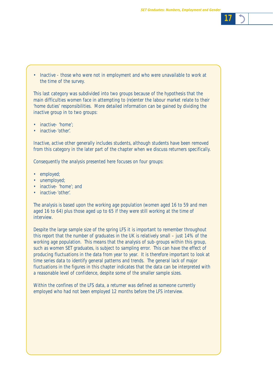

• Inactive - those who were not in employment and who were unavailable to work at the time of the survey.

This last category was subdivided into two groups because of the hypothesis that the main difficulties women face in attempting to (re)enter the labour market relate to their 'home duties' responsibilities. More detailed information can be gained by dividing the inactive group in to two groups:

- inactive- 'home':
- inactive-'other'.

Inactive, active other generally includes students, although students have been removed from this category in the later part of the chapter when we discuss returners specifically.

Consequently the analysis presented here focuses on four groups:

- employed;
- unemployed;
- inactive- 'home'; and
- inactive-'other'

The analysis is based upon the working age population (women aged 16 to 59 and men aged 16 to 64) plus those aged up to 65 if they were still working at the time of interview.

Despite the large sample size of the spring LFS it is important to remember throughout this report that the number of graduates in the UK is relatively small – just 14% of the working age population. This means that the analysis of sub-groups within this group, such as women SET graduates, is subject to sampling error. This can have the effect of producing fluctuations in the data from year to year. It is therefore important to look at time series data to identify general patterns and trends. The general lack of major fluctuations in the figures in this chapter indicates that the data can be interpreted with a reasonable level of confidence, despite some of the smaller sample sizes.

Within the confines of the LFS data, a returner was defined as someone currently employed who had not been employed 12 months before the LFS interview.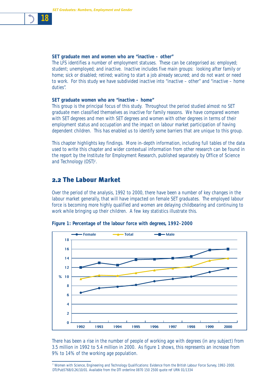### **SET graduate men and women who are "inactive – other"**

The LFS identifies a number of employment statuses. These can be categorised as: employed; student; unemployed; and inactive. Inactive includes five main groups: looking after family or home; sick or disabled; retired; waiting to start a job already secured; and do not want or need to work. For this study we have subdivided inactive into "inactive – other" and "inactive – home duties".

#### **SET graduate women who are "inactive – home"**

This group is the principal focus of this study. Throughout the period studied almost no SET graduate men classified themselves as inactive for family reasons. We have compared women with SET degrees and men with SET degrees and women with other degrees in terms of their employment status and occupation and the impact on labour market participation of having dependent children. This has enabled us to identify some barriers that are unique to this group.

This chapter highlights key findings. More in-depth information, including full tables of the data used to write this chapter and wider contextual information from other research can be found in the report by the Institute for Employment Research, published separately by Office of Science and Technology (OST)<sup>2</sup>.

# 2.2 The Labour Market

Over the period of the analysis, 1992 to 2000, there have been a number of key changes in the labour market generally, that will have impacted on female SET graduates. The employed labour force is becoming more highly qualified and women are delaying childbearing and continuing to work while bringing up their children. A few key statistics illustrate this.



**Figure 1: Percentage of the labour force with degrees, 1992-2000**

There has been a rise in the number of people of working age with degrees (in any subject) from 3.5 million in 1992 to 5.4 million in 2000. As figure 1 shows, this represents an increase from 9% to 14% of the working age population.

*<sup>2</sup>* Women with Science, Engineering and Technology Qualifications: Evidence from the British Labour Force Survey, 1992-2000. DTI/Pub5768/0.2K/10/01. Available from the DTI orderline 0870 150 2500 quote ref URN 01/1334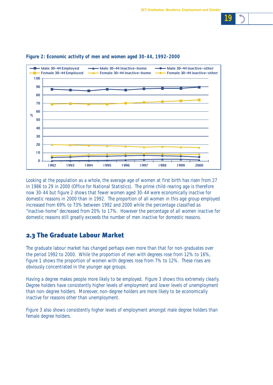



#### **Figure 2: Economic activity of men and women aged 30-44, 1992-2000**

Looking at the population as a whole, the average age of women at first birth has risen from 27 in 1986 to 29 in 2000 (Office for National Statistics). The prime child-rearing age is therefore now 30-44 but figure 2 shows that fewer women aged 30-44 were economically inactive for domestic reasons in 2000 than in 1992. The proportion of all women in this age group employed increased from 69% to 73% between 1992 and 2000 while the percentage classified as "inactive-home" decreased from 20% to 17%. However the percentage of all women inactive for domestic reasons still greatly exceeds the number of men inactive for domestic reasons.

# 2.3 The Graduate Labour Market

The graduate labour market has changed perhaps even more than that for non-graduates over the period 1992 to 2000. While the proportion of men with degrees rose from 12% to 16%, figure 1 shows the proportion of women with degrees rose from 7% to 12%. These rises are obviously concentrated in the younger age groups.

Having a degree makes people more likely to be employed. Figure 3 shows this extremely clearly. Degree holders have consistently higher levels of employment and lower levels of unemployment than non-degree holders. Moreover, non-degree holders are more likely to be economically inactive for reasons other than unemployment.

Figure 3 also shows consistently higher levels of employment amongst male degree holders than female degree holders.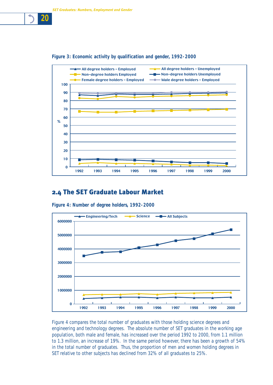



# 2.4 The SET Graduate Labour Market



**Figure 4: Number of degree holders, 1992-2000**

Figure 4 compares the total number of graduates with those holding science degrees and engineering and technology degrees. The absolute number of SET graduates in the working age population, both male and female, has increased over the period 1992 to 2000, from 1.1 million to 1.3 million, an increase of 19%. In the same period however, there has been a growth of 54% in the total number of graduates. Thus, the proportion of men and women holding degrees in SET relative to other subjects has declined from 32% of all graduates to 25%.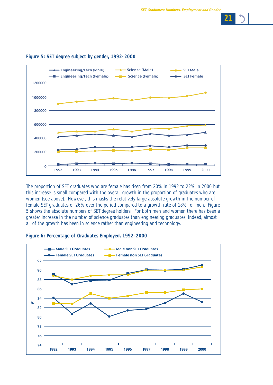



### **Figure 5: SET degree subject by gender, 1992-2000**

The proportion of SET graduates who are female has risen from 20% in 1992 to 22% in 2000 but this increase is small compared with the overall growth in the proportion of graduates who are women (see above). However, this masks the relatively large absolute growth in the number of female SET graduates of 26% over the period compared to a growth rate of 18% for men. Figure 5 shows the absolute numbers of SET degree holders. For both men and women there has been a greater increase in the number of science graduates than engineering graduates; indeed, almost all of the growth has been in science rather than engineering and technology.

### **Figure 6: Percentage of Graduates Employed, 1992-2000**

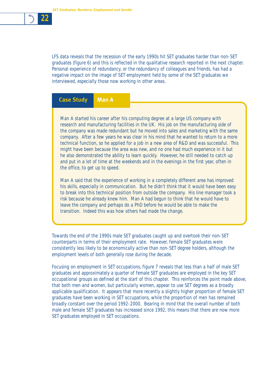

LFS data reveals that the recession of the early 1990s hit SET graduates harder than non-SET graduates (figure 6) and this is reflected in the qualitative research reported in the next chapter. Personal experience of redundancy, or the redundancy of colleagues and friends, has had a negative impact on the image of SET employment held by some of the SET graduates we interviewed, especially those now working in other areas.

### **Case Study Man A**

Man A started his career after his computing degree at a large US company with research and manufacturing facilities in the UK. His job on the manufacturing side of the company was made redundant but he moved into sales and marketing with the same company. After a few years he was clear in his mind that he wanted to return to a more technical function, so he applied for a job in a new area of R&D and was successful. This might have been because the area was new, and no one had much experience in it but he also demonstrated the ability to learn quickly. However, he still needed to catch up and put in a lot of time at the weekends and in the evenings in the first year, often in the office, to get up to speed.

Man A said that the experience of working in a completely different area has improved his skills, especially in communication. But he didn't think that it would have been easy to break into this technical position from outside the company. His line manager took a risk because he already knew him. Man A had begun to think that he would have to leave the company and perhaps do a PhD before he would be able to make the transition. Indeed this was how others had made the change.

Towards the end of the 1990s male SET graduates caught up and overtook their non-SET counterparts in terms of their employment rate. However, female SET graduates were consistently less likely to be economically active than non-SET degree holders, although the employment levels of both generally rose during the decade.

Focusing on employment in SET occupations, figure 7 reveals that less than a half of male SET graduates and approximately a quarter of female SET graduates are employed in the key SET occupational groups as defined at the start of this chapter. This reinforces the point made above, that both men and women, but particularly women, appear to use SET degrees as a broadly applicable qualification. It appears that more recently a slightly higher proportion of female SET graduates have been working in SET occupations, while the proportion of men has remained broadly constant over the period 1992-2000. Bearing in mind that the overall number of both male and female SET graduates has increased since 1992, this means that there are now more SET graduates employed in SET occupations.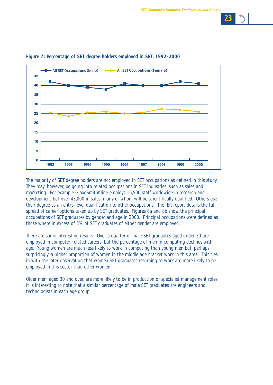



### **Figure 7: Percentage of SET degree holders employed in SET, 1992-2000**

The majority of SET degree holders are not employed in SET occupations as defined in this study. They may, however, be going into related occupations in SET industries, such as sales and marketing. For example GlaxoSmithKline employs 16,500 staff worldwide in research and development but over 43,000 in sales, many of whom will be scientifically qualified. Others use their degree as an entry-level qualification to other occupations. The IER report details the full spread of career options taken up by SET graduates. Figures 8a and 8b show the principal occupations of SET graduates by gender and age in 2000. Principal occupations were defined as those where in excess of 3% of SET graduates of either gender are employed.

There are some interesting results. Over a quarter of male SET graduates aged under 30 are employed in computer-related careers, but the percentage of men in computing declines with age. Young women are much less likely to work in computing than young men but, perhaps surprisingly, a higher proportion of women in the middle age bracket work in this area. This ties in with the later observation that women SET graduates returning to work are more likely to be employed in this sector than other women.

Older men, aged 30 and over, are more likely to be in production or specialist management roles. It is interesting to note that a similar percentage of male SET graduates are engineers and technologists in each age group.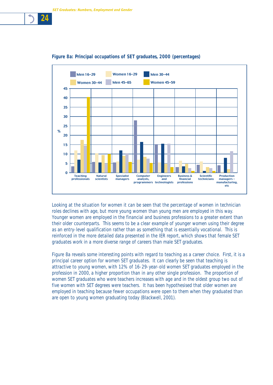

### **Figure 8a: Principal occupations of SET graduates, 2000 (percentages)**

Looking at the situation for women it can be seen that the percentage of women in technician roles declines with age, but more young women than young men are employed in this way. Younger women are employed in the financial and business professions to a greater extent than their older counterparts. This seems to be a clear example of younger women using their degree as an entry-level qualification rather than as something that is essentially vocational. This is reinforced in the more detailed data presented in the IER report, which shows that female SET graduates work in a more diverse range of careers than male SET graduates.

Figure 8a reveals some interesting points with regard to teaching as a career choice. First, it is a principal career option for women SET graduates. It can clearly be seen that teaching is attractive to young women, with 12% of 16-29-year-old women SET graduates employed in the profession in 2000, a higher proportion than in any other single profession. The proportion of women SET graduates who were teachers increases with age and in the oldest group two out of five women with SET degrees were teachers. It has been hypothesised that older women are employed in teaching because fewer occupations were open to them when they graduated than are open to young women graduating today (Blackwell, 2001).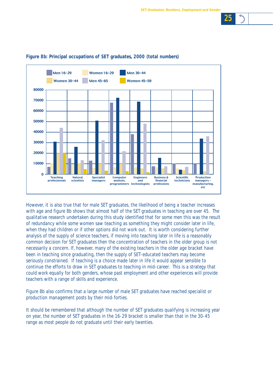



### **Figure 8b: Principal occupations of SET graduates, 2000 (total numbers)**

However, it is also true that for male SET graduates, the likelihood of being a teacher increases with age and figure 8b shows that almost half of the SET graduates in teaching are over 45. The qualitative research undertaken during this study identified that for some men this was the result of redundancy while some women saw teaching as something they might consider later in life, when they had children or if other options did not work out. It is worth considering further analysis of the supply of science teachers, if moving into teaching later in life is a reasonably common decision for SET graduates then the concentration of teachers in the older group is not necessarily a concern. If, however, many of the existing teachers in the older age bracket have been in teaching since graduating, then the supply of SET-educated teachers may become seriously constrained. If teaching is a choice made later in life it would appear sensible to continue the efforts to draw in SET graduates to teaching in mid-career. This is a strategy that could work equally for both genders, whose past employment and other experiences will provide teachers with a range of skills and experience.

Figure 8b also confirms that a large number of male SET graduates have reached specialist or production management posts by their mid-forties.

It should be remembered that although the number of SET graduates qualifying is increasing year on year, the number of SET graduates in the 16-29 bracket is smaller than that in the 30-45 range as most people do not graduate until their early twenties.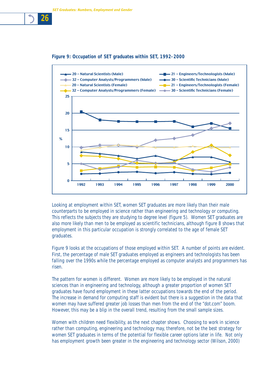### **Figure 9: Occupation of SET graduates within SET, 1992-2000**



Looking at employment within SET, women SET graduates are more likely than their male counterparts to be employed in science rather than engineering and technology or computing. This reflects the subjects they are studying to degree level (figure 5). Women SET graduates are also more likely than men to be employed as scientific technicians, although figure 8 shows that employment in this particular occupation is strongly correlated to the age of female SET graduates.

Figure 9 looks at the occupations of those employed within SET. A number of points are evident. First, the percentage of male SET graduates employed as engineers and technologists has been falling over the 1990s while the percentage employed as computer analysts and programmers has risen.

The pattern for women is different. Women are more likely to be employed in the natural sciences than in engineering and technology, although a greater proportion of women SET graduates have found employment in these latter occupations towards the end of the period. The increase in demand for computing staff is evident but there is a suggestion in the data that women may have suffered greater job losses than men from the end of the "dot.com" boom. However, this may be a blip in the overall trend, resulting from the small sample sizes.

Women with children need flexibility, as the next chapter shows. Choosing to work in science rather than computing, engineering and technology may, therefore, not be the best strategy for women SET graduates in terms of the potential for flexible career options later in life. Not only has employment growth been greater in the engineering and technology sector (Wilson, 2000)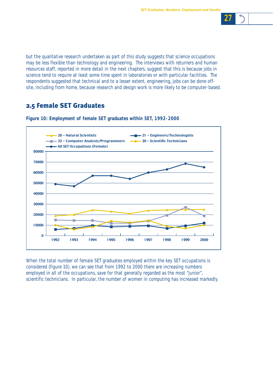

but the qualitative research undertaken as part of this study suggests that science occupations may be less flexible than technology and engineering. The interviews with returners and human resources staff, reported in more detail in the next chapters, suggest that this is because jobs in science tend to require at least some time spent in laboratories or with particular facilities. The respondents suggested that technical and to a lesser extent, engineering, jobs can be done offsite, including from home, because research and design work is more likely to be computer-based.

# 2.5 Female SET Graduates



**Figure 10: Employment of female SET graduates within SET, 1992-2000**

When the total number of female SET graduates employed within the key SET occupations is considered (figure 10), we can see that from 1992 to 2000 there are increasing numbers employed in all of the occupations, save for that generally regarded as the most "junior", scientific technicians. In particular, the number of women in computing has increased markedly.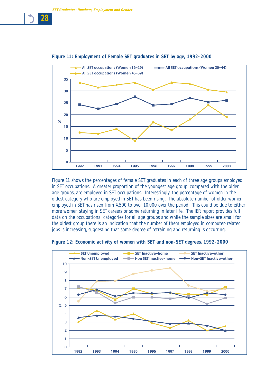

### **Figure 11: Employment of Female SET graduates in SET by age, 1992-2000**

Figure 11 shows the percentages of female SET graduates in each of three age groups employed in SET occupations. A greater proportion of the youngest age group, compared with the older age groups, are employed in SET occupations. Interestingly, the percentage of women in the oldest category who are employed in SET has been rising. The absolute number of older women employed in SET has risen from 4,500 to over 10,000 over the period. This could be due to either more women staying in SET careers or some returning in later life. The IER report provides full data on the occupational categories for all age groups and while the sample sizes are small for the oldest group there is an indication that the number of them employed in computer-related jobs is increasing, suggesting that some degree of retraining and returning is occurring.



**Figure 12: Economic activity of women with SET and non-SET degrees, 1992-2000**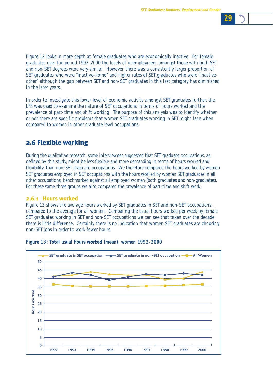

Figure 12 looks in more depth at female graduates who are economically inactive. For female graduates over the period 1992-2000 the levels of unemployment amongst those with both SET and non-SET degrees were very similar. However, there was a consistently larger proportion of SET graduates who were "inactive-home" and higher rates of SET graduates who were "inactiveother" although the gap between SET and non-SET graduates in this last category has diminished in the later years.

In order to investigate this lower level of economic activity amongst SET graduates further, the LFS was used to examine the nature of SET occupations in terms of hours worked and the prevalence of part-time and shift working. The purpose of this analysis was to identify whether or not there are specific problems that women SET graduates working in SET might face when compared to women in other graduate level occupations.

# 2.6 Flexible working

During the qualitative research, some interviewees suggested that SET graduate occupations, as defined by this study, might be less flexible and more demanding in terms of hours worked and flexibility, than non-SET graduate occupations. We therefore compared the hours worked by women SET graduates employed in SET occupations with the hours worked by women SET graduates in all other occupations, benchmarked against all employed women (both graduates and non-graduates). For these same three groups we also compared the prevalence of part-time and shift work.

### **2.6.1 Hours worked**

Figure 13 shows the average hours worked by SET graduates in SET and non-SET occupations, compared to the average for all women. Comparing the usual hours worked per week by female SET graduates working in SET and non-SET occupations we can see that taken over the decade there is little difference. Certainly there is no indication that women SET graduates are choosing non-SET jobs in order to work fewer hours.



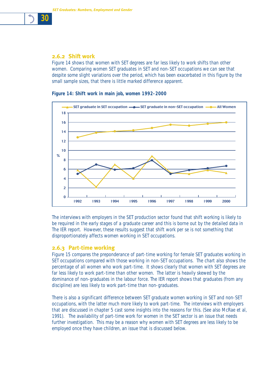

### **2.6.2 Shift work**

Figure 14 shows that women with SET degrees are far less likely to work shifts than other women. Comparing women SET graduates in SET and non-SET occupations we can see that despite some slight variations over the period, which has been exacerbated in this figure by the small sample sizes, that there is little marked difference apparent.

**Figure 14: Shift work in main job, women 1992-2000** 



The interviews with employers in the SET production sector found that shift working is likely to be required in the early stages of a graduate career and this is borne out by the detailed data in The IER report. However, these results suggest that shift work per se is not something that disproportionately affects women working in SET occupations.

### **2.6.3 Part-time working**

Figure 15 compares the preponderance of part-time working for female SET graduates working in SET occupations compared with those working in non-SET occupations. The chart also shows the percentage of all women who work part-time. It shows clearly that women with SET degrees are far less likely to work part-time than other women. The latter is heavily skewed by the dominance of non-graduates in the labour force. The IER report shows that graduates (from any discipline) are less likely to work part-time than non-graduates.

There is also a significant difference between SET graduate women working in SET and non-SET occupations, with the latter much more likely to work part-time. The interviews with employers that are discussed in chapter 5 cast some insights into the reasons for this. (See also McRae et al, 1991). The availability of part-time work for women in the SET sector is an issue that needs further investigation. This may be a reason why women with SET degrees are less likely to be employed once they have children, an issue that is discussed below.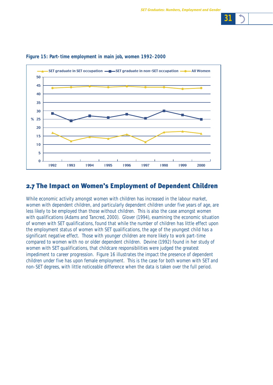

### **Figure 15: Part-time employment in main job, women 1992-2000**

# 2.7 The Impact on Women's Employment of Dependent Children

While economic activity amongst women with children has increased in the labour market, women with dependent children, and particularly dependent children under five years of age, are less likely to be employed than those without children. This is also the case amongst women with qualifications (Adams and Tancred, 2000). Glover (1994), examining the economic situation of women with SET qualifications, found that while the number of children has little effect upon the employment status of women with SET qualifications, the age of the youngest child has a significant negative effect. Those with younger children are more likely to work part-time compared to women with no or older dependent children. Devine (1992) found in her study of women with SET qualifications, that childcare responsibilities were judged the greatest impediment to career progression. Figure 16 illustrates the impact the presence of dependent children under five has upon female employment. This is the case for both women with SET and non-SET degrees, with little noticeable difference when the data is taken over the full period.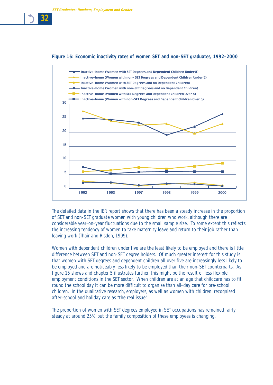



The detailed data in the IER report shows that there has been a steady increase in the proportion of SET and non-SET graduate women with young children who work, although there are considerable year-on-year fluctuations due to the small sample size. To some extent this reflects the increasing tendency of women to take maternity leave and return to their job rather than leaving work (Thair and Risdon, 1999).

Women with dependent children under five are the least likely to be employed and there is little difference between SET and non-SET degree holders. Of much greater interest for this study is that women with SET degrees and dependent children all over five are increasingly less likely to be employed and are noticeably less likely to be employed than their non-SET counterparts. As figure 15 shows and chapter 5 illustrates further, this might be the result of less flexible employment conditions in the SET sector. When children are at an age that childcare has to fit round the school day it can be more difficult to organise than all-day care for pre-school children. In the qualitative research, employers, as well as women with children, recognised after-school and holiday care as "the real issue".

The proportion of women with SET degrees employed in SET occupations has remained fairly steady at around 25% but the family composition of these employees is changing.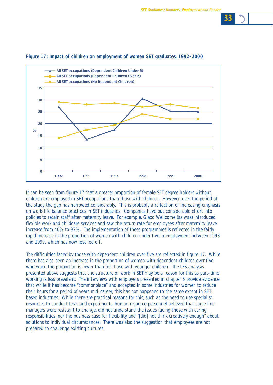

### **Figure 17: Impact of children on employment of women SET graduates, 1992-2000**

It can be seen from figure 17 that a greater proportion of female SET degree holders without children are employed in SET occupations than those with children. However, over the period of the study the gap has narrowed considerably. This is probably a reflection of increasing emphasis on work-life balance practices in SET industries. Companies have put considerable effort into policies to retain staff after maternity leave. For example, Glaxo Wellcome (as was) introduced flexible work and childcare services and saw the return rate for employees after maternity leave increase from 40% to 97%. The implementation of these programmes is reflected in the fairly rapid increase in the proportion of women with children under five in employment between 1993 and 1999, which has now levelled off.

The difficulties faced by those with dependent children over five are reflected in figure 17. While there has also been an increase in the proportion of women with dependent children over five who work, the proportion is lower than for those with younger children. The LFS analysis presented above suggests that the structure of work in SET may be a reason for this as part-time working is less prevalent. The interviews with employers presented in chapter 5 provide evidence that while it has become "commonplace" and accepted in some industries for women to reduce their hours for a period of years mid-career, this has not happened to the same extent in SETbased industries. While there are practical reasons for this, such as the need to use specialist resources to conduct tests and experiments, human resource personnel believed that some line managers were resistant to change, did not understand the issues facing those with caring responsibilities, nor the business case for flexibility and "[did] not think creatively enough" about solutions to individual circumstances. There was also the suggestion that employees are not prepared to challenge existing cultures.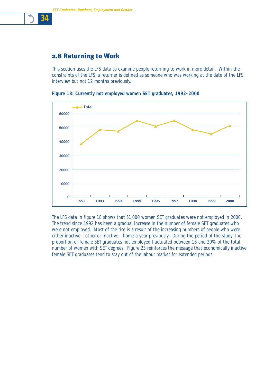# 2.8 Returning to Work

*34*

This section uses the LFS data to examine people returning to work in more detail. Within the constraints of the LFS, a returner is defined as someone who was working at the date of the LFS interview but not 12 months previously.



**Figure 18: Currently not employed women SET graduates, 1992-2000**

The LFS data in figure 18 shows that 51,000 women SET graduates were not employed in 2000. The trend since 1992 has been a gradual increase in the number of female SET graduates who were not employed. Most of the rise is a result of the increasing numbers of people who were either inactive - other or inactive - home a year previously. During the period of the study, the proportion of female SET graduates not employed fluctuated between 16 and 20% of the total number of women with SET degrees. Figure 23 reinforces the message that economically inactive female SET graduates tend to stay out of the labour market for extended periods.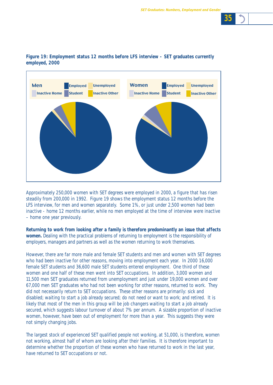

### **Figure 19: Employment status 12 months before LFS interview - SET graduates currently employed, 2000**

Approximately 250,000 women with SET degrees were employed in 2000, a figure that has risen steadily from 200,000 in 1992. Figure 19 shows the employment status 12 months before the LFS interview, for men and women separately. Some 1%, or just under 2,500 women had been inactive - home 12 months earlier, while no men employed at the time of interview were inactive – home one year previously.

**Returning to work from looking after a family is therefore predominantly an issue that affects women.** Dealing with the practical problems of returning to employment is the responsibility of employers, managers and partners as well as the women returning to work themselves.

However, there are far more male and female SET students and men and women with SET degrees who had been inactive for other reasons, moving into employment each year. In 2000 16,000 female SET students and 36,600 male SET students entered employment. One third of these women and one half of these men went into SET occupations. In addition, 3,000 women and 11,500 men SET graduates returned from unemployment and just under 19,000 women and over 67,000 men SET graduates who had not been working for other reasons, returned to work. They did not necessarily return to SET occupations. These other reasons are primarily: sick and disabled; waiting to start a job already secured; do not need or want to work; and retired. It is likely that most of the men in this group will be job changers waiting to start a job already secured, which suggests labour turnover of about 7% per annum. A sizable proportion of inactive women, however, have been out of employment for more than a year. This suggests they were not simply changing jobs.

The largest stock of experienced SET qualified people not working, at 51,000, is therefore, women not working, almost half of whom are looking after their families. It is therefore important to determine whether the proportion of these women who have returned to work in the last year, have returned to SET occupations or not.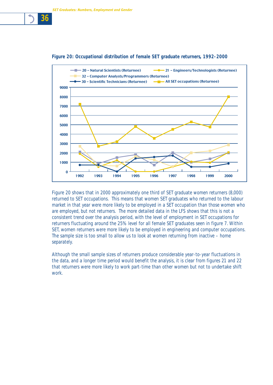



Figure 20 shows that in 2000 approximately one third of SET graduate women returners (8,000) returned to SET occupations. This means that women SET graduates who returned to the labour market in that year were more likely to be employed in a SET occupation than those women who are employed, but not returners. The more detailed data in the LFS shows that this is not a consistent trend over the analysis period, with the level of employment in SET occupations for returners fluctuating around the 25% level for all female SET graduates seen in figure 7. Within SET, women returners were more likely to be employed in engineering and computer occupations. The sample size is too small to allow us to look at women returning from inactive – home separately.

Although the small sample sizes of returners produce considerable year-to-year fluctuations in the data, and a longer time period would benefit the analysis, it is clear from figures 21 and 22 that returners were more likely to work part-time than other women but not to undertake shift work.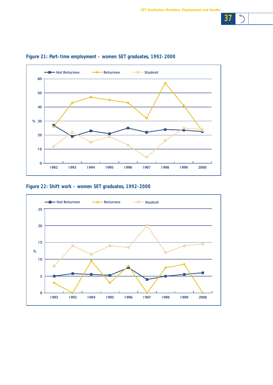

## **Figure 21: Part-time employment - women SET graduates, 1992-2000**

**Figure 22: Shift work - women SET graduates, 1992-2000**

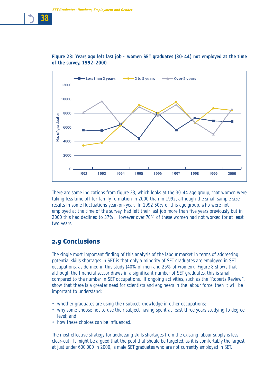

**Figure 23: Years ago left last job - women SET graduates (30-44) not employed at the time of the survey, 1992-2000**

There are some indications from figure 23, which looks at the 30-44 age group, that women were taking less time off for family formation in 2000 than in 1992, although the small sample size results in some fluctuations year-on-year. In 1992 50% of this age group, who were not employed at the time of the survey, had left their last job more than five years previously but in 2000 this had declined to 37%. However over 70% of these women had not worked for at least two years.

## 2.9 Conclusions

The single most important finding of this analysis of the labour market in terms of addressing potential skills shortages in SET is that only a minority of SET graduates are employed in SET occupations, as defined in this study (40% of men and 25% of women). Figure 8 shows that although the financial sector draws in a significant number of SET graduates, this is small compared to the number in SET occupations. If ongoing activities, such as the "Roberts Review", show that there is a greater need for scientists and engineers in the labour force, then it will be important to understand:

- whether graduates are using their subject knowledge in other occupations;
- why some choose not to use their subject having spent at least three years studying to degree level; and
- how these choices can be influenced.

The most effective strategy for addressing skills shortages from the existing labour supply is less clear-cut. It might be argued that the pool that should be targeted, as it is comfortably the largest at just under 600,000 in 2000, is male SET graduates who are not currently employed in SET.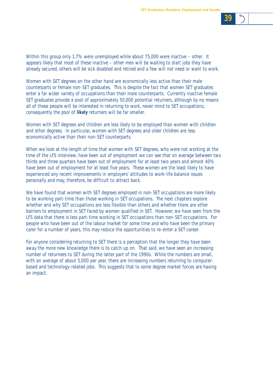

Within this group only 1.7% were unemployed while about 75,000 were inactive – other. It appears likely that most of these inactive – other men will be waiting to start jobs they have already secured, others will be sick disabled and retired and a few will not need or want to work.

Women with SET degrees on the other hand are economically less active than their male counterparts or female non-SET graduates. This is despite the fact that women SET graduates enter a far wider variety of occupations than their male counterparts. Currently inactive female SET graduates provide a pool of approximately 50,000 potential returners, although by no means all of these people will be interested in returning to work, never mind to SET occupations; consequently the pool of **likely** returners will be far smaller.

Women with SET degrees and children are less likely to be employed than women with children and other degrees. In particular, women with SET degrees and older children are less economically active than their non-SET counterparts.

When we look at the length of time that women with SET degrees, who were not working at the time of the LFS interview, have been out of employment we can see that on average between two thirds and three quarters have been out of employment for at least two years and almost 40% have been out of employment for at least five years. These women are the least likely to have experienced any recent improvements in employers' attitudes to work-life balance issues personally and may, therefore, be difficult to attract back.

We have found that women with SET degrees employed in non-SET occupations are more likely to be working part-time than those working in SET occupations. The next chapters explore whether and why SET occupations are less flexible than others and whether there are other barriers to employment in SET faced by women qualified in SET. However, we have seen from the LFS data that there is less part-time working in SET occupations than non-SET occupations. For people who have been out of the labour market for some time and who have been the primary carer for a number of years, this may reduce the opportunities to re-enter a SET career.

For anyone considering returning to SET there is a perception that the longer they have been away the more new knowledge there is to catch up on. That said, we have seen an increasing number of returnees to SET during the latter part of the 1990s. While the numbers are small, with an average of about 5,000 per year, there are increasing numbers returning to computerbased and technology-related jobs. This suggests that to some degree market forces are having an impact.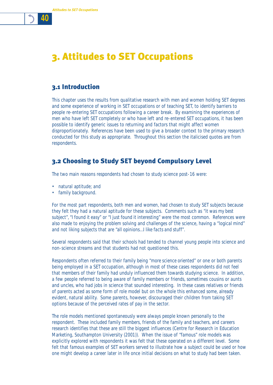3. Attitudes to SET Occupations

# 3.1 Introduction

This chapter uses the results from qualitative research with men and women holding SET degrees and some experience of working in SET occupations or of teaching SET, to identify barriers to people re-entering SET occupations following a career break. By examining the experiences of men who have left SET completely or who have left and re-entered SET occupations, it has been possible to identify generic issues to returning and factors that might affect women disproportionately. References have been used to give a broader context to the primary research conducted for this study as appropriate. Throughout this section the italicised quotes are from respondents.

# 3.2 Choosing to Study SET beyond Compulsory Level

The two main reasons respondents had chosen to study science post-16 were:

- natural aptitude; and
- family background.

For the most part respondents, both men and women, had chosen to study SET subjects because they felt they had a natural aptitude for these subjects. Comments such as *"it was my best subject", "I found it easy"* or *"I just found it interesting"* were the most common. References were also made to enjoying the problem solving and challenges of the science, having a *"logical mind"* and not liking subjects that are *"all opinions…I like facts and stuff"*.

Several respondents said that their schools had tended to channel young people into science and non-science streams and that students had not questioned this.

Respondents often referred to their family being *"more science oriented"* or one or both parents being employed in a SET occupation, although in most of these cases respondents did not feel that members of their family had unduly influenced them towards studying science. In addition, a few people referred to being aware of family members or friends, sometimes cousins or aunts and uncles, who had jobs in science that sounded interesting. In these cases relatives or friends of parents acted as some form of role model but on the whole this enhanced some, already evident, natural ability. Some parents, however, discouraged their children from taking SET options because of the perceived rates of pay in the sector.

The role models mentioned spontaneously were always people known personally to the respondent. These included family members, friends of the family and teachers, and careers research identifies that these are still the biggest influences (Centre for Research in Education Marketing, Southampton University (2001)). When the issue of *"famous"* role models was explicitly explored with respondents it was felt that these operated on a different level. Some felt that famous examples of SET workers served to illustrate how a subject could be used or how one might develop a career later in life once initial decisions on what to study had been taken.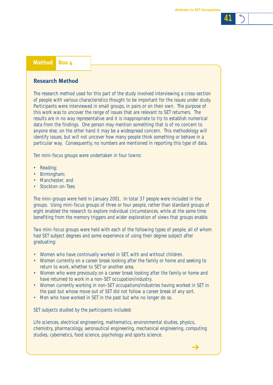$\rightarrow$ 

*41*

### **Method Box 4**

**Research Method** 

The research method used for this part of the study involved interviewing a cross-section of people with various characteristics thought to be important for the issues under study. Participants were interviewed in small groups, in pairs or on their own. The purpose of this work was to uncover the range of issues that are relevant to SET returners. The results are in no way representative and it is inappropriate to try to establish numerical data from the findings. One person may mention something that is of no concern to anyone else; on the other hand it may be a widespread concern. This methodology will identify issues, but will not uncover how many people think something or behave in a particular way. Consequently, no numbers are mentioned in reporting this type of data.

Ten mini-focus groups were undertaken in four towns:

- Reading:
- Birmingham;
- Manchester; and
- Stockton-on-Tees

The mini-groups were held in January 2001. In total 37 people were included in the groups. Using mini-focus groups of three or four people, rather than standard groups of eight enabled the research to explore individual circumstances, while at the same time benefiting from the memory triggers and wider exploration of views that groups enable.

Two mini-focus groups were held with each of the following types of people, all of whom had SET subject degrees and some experience of using their degree subject after graduating:

- Women who have continually worked in SET, with and without children.
- Women currently on a career break looking after the family or home and seeking to return to work, whether to SET or another area.
- Women who were previously on a career break looking after the family or home and have returned to work in a non-SET occupation/industry.
- Women currently working in non-SET occupations/industries having worked in SET in the past but whose move out of SET did not follow a career break of any sort.
- Men who have worked in SET in the past but who no longer do so.

SET subjects studied by the participants included:

Life sciences, electrical engineering, mathematics, environmental studies, physics, chemistry, pharmacology, aeronautical engineering, mechanical engineering, computing studies, cybernetics, food science, psychology and sports science.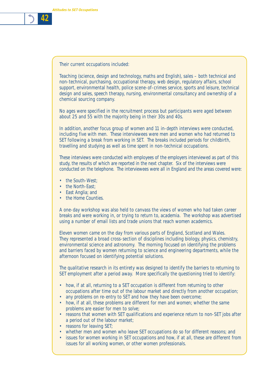

Their current occupations included:

Teaching (science, design and technology, maths and English), sales – both technical and non-technical, purchasing, occupational therapy, web design, regulatory affairs, school support, environmental health, police scene-of-crimes service, sports and leisure, technical design and sales, speech therapy, nursing, environmental consultancy and ownership of a chemical sourcing company.

No ages were specified in the recruitment process but participants were aged between about 25 and 55 with the majority being in their 30s and 40s.

In addition, another focus group of women and 11 in-depth interviews were conducted, including five with men. These interviewees were men and women who had returned to SET following a break from working in SET. The breaks included periods for childbirth, travelling and studying as well as time spent in non-technical occupations.

These interviews were conducted with employees of the employers interviewed as part of this study, the results of which are reported in the next chapter. Six of the interviews were conducted on the telephone. The interviewees were all in England and the areas covered were:

- the South-West:
- the North-East:
- East Anglia: and
- the Home Counties.

A one-day workshop was also held to canvass the views of women who had taken career breaks and were working in, or trying to return to, academia. The workshop was advertised using a number of email lists and trade unions that reach women academics.

Eleven women came on the day from various parts of England, Scotland and Wales. They represented a broad cross-section of disciplines including biology, physics, chemistry, environmental science and astronomy. The morning focused on identifying the problems and barriers faced by women returning to science and engineering departments, while the afternoon focused on identifying potential solutions.

The qualitative research in its entirety was designed to identify the barriers to returning to SET employment after a period away. More specifically the questioning tried to identify:

- how, if at all, returning to a SET occupation is different from returning to other occupations after time out of the labour market and directly from another occupation;
- any problems on re-entry to SET and how they have been overcome;
- how, if at all, these problems are different for men and women; whether the same problems are easier for men to solve;
- reasons that women with SET qualifications and experience return to non-SET jobs after a period out of the labour market;
- reasons for leaving SET;
- whether men and women who leave SET occupations do so for different reasons; and
- issues for women working in SET occupations and how, if at all, these are different from issues for all working women, or other women professionals.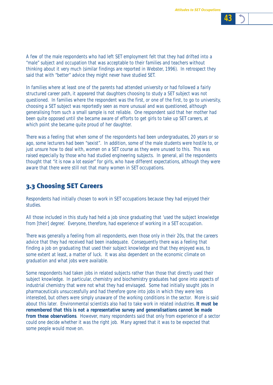

In families where at least one of the parents had attended university or had followed a fairly structured career path, it appeared that daughters choosing to study a SET subject was not questioned. In families where the respondent was the first, or one of the first, to go to university, choosing a SET subject was reportedly seen as more unusual and was questioned, although generalising from such a small sample is not reliable. One respondent said that her mother had been quite opposed until she became aware of efforts to get girls to take up SET careers, at which point she became quite proud of her daughter.

said that with *"better"* advice they might never have studied SET.

There was a feeling that when some of the respondents had been undergraduates, 20 years or so ago, some lecturers had been *"sexist"*. In addition, some of the male students were hostile to, or just unsure how to deal with, women on a SET course as they were unused to this. This was raised especially by those who had studied engineering subjects. In general, all the respondents thought that *"it is now a lot easier"* for girls, who have different expectations, although they were aware that there were still not that many women in SET occupations.

# 3.3 Choosing SET Careers

Respondents had initially chosen to work in SET occupations because they had enjoyed their studies.

All those included in this study had held a job since graduating that 'used the subject knowledge from [their] degree'. Everyone, therefore, had experience of working in a SET occupation.

There was generally a feeling from all respondents, even those only in their 20s, that the careers advice that they had received had been inadequate. Consequently there was a feeling that finding a job on graduating that used their subject knowledge and that they enjoyed was, to some extent at least, a matter of luck. It was also dependent on the economic climate on graduation and what jobs were available.

Some respondents had taken jobs in related subjects rather than those that directly used their subject knowledge. In particular, chemistry and biochemistry graduates had gone into aspects of industrial chemistry that were not what they had envisaged. Some had initially sought jobs in pharmaceuticals unsuccessfully and had therefore gone into jobs in which they were less interested, but others were simply unaware of the working conditions in the sector. More is said about this later. Environmental scientists also had to take work in related industries. **It must be remembered that this is not a representative survey and generalisations cannot be made from these observations**. However, many respondents said that only from experience of a sector could one decide whether it was the right job. Many agreed that it was to be expected that some people would move on.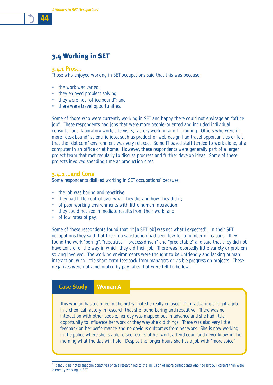

## 3.4 Working in SET

#### **3.4.1 Pros…**

Those who enjoyed working in SET occupations said that this was because:

- the work was varied:
- they enjoyed problem solving;
- they were not *"office bound"*; and
- there were travel opportunities.

Some of those who were currently working in SET and happy there could not envisage an *"office job"*. These respondents had jobs that were more people-oriented and included individual consultations, laboratory work, site visits, factory working and IT training. Others who were in more *"desk bound"* scientific jobs, such as product or web design had travel opportunities or felt that the *"dot com"* environment was very relaxed. Some IT based staff tended to work alone, at a computer in an office or at home. However, these respondents were generally part of a larger project team that met regularly to discuss progress and further develop ideas. Some of these projects involved spending time at production sites.

#### **3.4.2 …and Cons**

Some respondents disliked working in SET occupations<sup>3</sup> because:

- the job was boring and repetitive;
- they had little control over what they did and how they did it;
- of poor working environments with little human interaction;
- they could not see immediate results from their work; and
- of low rates of pay.

Some of these respondents found that *"it [a SET job] was not what I expected"*. In their SET occupations they said that their job satisfaction had been low for a number of reasons. They found the work *"boring", "repetitive", "process driven"* and *"predictable"* and said that they did not have control of the way in which they did their job. There was reportedly little variety or problem solving involved. The working environments were thought to be unfriendly and lacking human interaction, with little short-term feedback from managers or visible progress on projects. These negatives were not ameliorated by pay rates that were felt to be low.

#### **Case Study Woman A**

This woman has a degree in chemistry that she really enjoyed. On graduating she got a job in a chemical factory in research that she found boring and repetitive. There was no interaction with other people, her day was mapped out in advance and she had little opportunity to influence her work or they way she did things. There was also very little feedback on her performance and no obvious outcomes from her work. She is now working in the police where she is able to see results of her work, attend court and never know in the morning what the day will hold. Despite the longer hours she has a job with "more spice"

*<sup>3</sup>* It should be noted that the objectives of this research led to the inclusion of more participants who had left SET careers than were currently working in SET.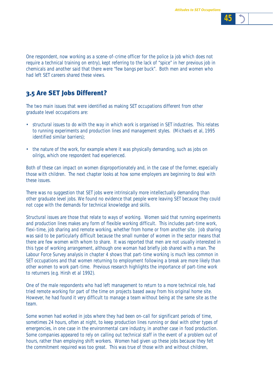

One respondent, now working as a scene-of-crime officer for the police (a job which does not require a technical training on entry), kept referring to the lack of *"spice"* in her previous job in chemicals and another said that there were *"few bangs per buck"*. Both men and women who had left SET careers shared these views.

# 3.5 Are SET Jobs Different?

The two main issues that were identified as making SET occupations different from other graduate level occupations are:

- structural issues to do with the way in which work is organised in SET industries. This relates to running experiments and production lines and management styles. (Michaels et al, 1995 identified similar barriers);
- the nature of the work, for example where it was physically demanding, such as jobs on oilrigs, which one respondent had experienced.

Both of these can impact on women disproportionately and, in the case of the former, especially those with children. The next chapter looks at how some employers are beginning to deal with these issues.

There was no suggestion that SET jobs were intrinsically more intellectually demanding than other graduate level jobs. We found no evidence that people were leaving SET because they could not cope with the demands for technical knowledge and skills.

Structural issues are those that relate to ways of working. Women said that running experiments and production lines makes any form of flexible working difficult. This includes part-time work, flexi-time, job sharing and remote working, whether from home or from another site. Job sharing was said to be particularly difficult because the small number of women in the sector means that there are few women with whom to share. It was reported that men are not usually interested in this type of working arrangement, although one woman had briefly job shared with a man. The Labour Force Survey analysis in chapter 4 shows that part-time working is much less common in SET occupations and that women returning to employment following a break are more likely than other women to work part-time. Previous research highlights the importance of part-time work to returners (e.g. Hirsh et al 1992).

One of the male respondents who had left management to return to a more technical role, had tried remote working for part of the time on projects based away from his original home site. However, he had found it very difficult to manage a team without being at the same site as the team.

Some women had worked in jobs where they had been on-call for significant periods of time, sometimes 24 hours, often at night, to keep production lines running or deal with other types of emergencies, in one case in the environmental care industry, in another case in food production. Some companies appeared to rely on calling out technical staff in the event of a problem out of hours, rather than employing shift workers. Women had given up these jobs because they felt the commitment required was too great. This was true of those with and without children,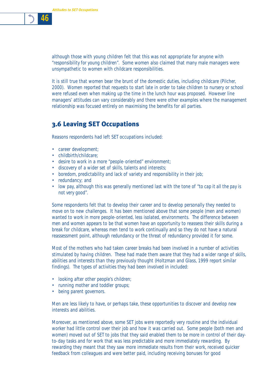

although those with young children felt that this was not appropriate for anyone with *"responsibility for young children"*. Some women also claimed that many male managers were unsympathetic to women with childcare responsibilities.

It is still true that women bear the brunt of the domestic duties, including childcare (Pilcher, 2000). Women reported that requests to start late in order to take children to nursery or school were refused even when making up the time in the lunch hour was proposed. However line managers' attitudes can vary considerably and there were other examples where the management relationship was focused entirely on maximising the benefits for all parties.

## 3.6 Leaving SET Occupations

Reasons respondents had left SET occupations included:

- career development;
- childbirth/childcare;
- desire to work in a more *"people-oriented"* environment;
- discovery of a wider set of skills, talents and interests;
- boredom, predictability and lack of variety and responsibility in their job;
- redundancy; and
- low pay, although this was generally mentioned last with the tone of *"to cap it all the pay is not very good"*.

Some respondents felt that to develop their career and to develop personally they needed to move on to new challenges. It has been mentioned above that some people (men and women) wanted to work in more people-oriented, less isolated, environments. The difference between men and women appears to be that women have an opportunity to reassess their skills during a break for childcare, whereas men tend to work continually and so they do not have a natural reassessment point, although redundancy or the threat of redundancy provided it for some.

Most of the mothers who had taken career breaks had been involved in a number of activities stimulated by having children. These had made them aware that they had a wider range of skills, abilities and interests than they previously thought (Holtzman and Glass, 1999 report similar findings). The types of activities they had been involved in included:

- looking after other people's children;
- running mother and toddler groups;
- being parent governors.

Men are less likely to have, or perhaps take, these opportunities to discover and develop new interests and abilities.

Moreover, as mentioned above, some SET jobs were reportedly very routine and the individual worker had little control over their job and how it was carried out. Some people (both men and women) moved out of SET to jobs that they said enabled them to be more in control of their dayto-day tasks and for work that was less predictable and more immediately rewarding. By rewarding they meant that they saw more immediate results from their work, received quicker feedback from colleagues and were better paid, including receiving bonuses for good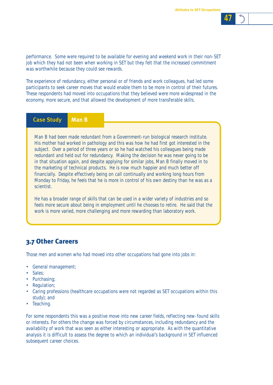

performance. Some were required to be available for evening and weekend work in their non-SET job which they had not been when working in SET but they felt that the increased commitment was worthwhile because they could see rewards.

The experience of redundancy, either personal or of friends and work colleagues, had led some participants to seek career moves that would enable them to be more in control of their futures. These respondents had moved into occupations that they believed were more widespread in the economy, more secure, and that allowed the development of more transferable skills.

## **Case Study Man B**

Man B had been made redundant from a Government-run biological research institute. His mother had worked in pathology and this was how he had first got interested in the subject. Over a period of three years or so he had watched his colleagues being made redundant and held out for redundancy. Making the decision he was never going to be in that situation again, and despite applying for similar jobs, Man B finally moved in to the marketing of technical products. He is now much happier and much better off financially. Despite effectively being on call continually and working long hours from Monday to Friday, he feels that he is more in control of his own destiny than he was as a scientist.

He has a broader range of skills that can be used in a wider variety of industries and so feels more secure about being in employment until he chooses to retire. He said that the work is more varied, more challenging and more rewarding than laboratory work.

## 3.7 Other Careers

Those men and women who had moved into other occupations had gone into jobs in:

- General management;
- Sales;
- Purchasing;
- Regulation;
- Caring professions (healthcare occupations were not regarded as SET occupations within this study); and
- Teaching.

For some respondents this was a positive move into new career fields, reflecting new-found skills or interests. For others the change was forced by circumstances, including redundancy and the availability of work that was seen as either interesting or appropriate. As with the quantitative analysis it is difficult to assess the degree to which an individual's background in SET influenced subsequent career choices.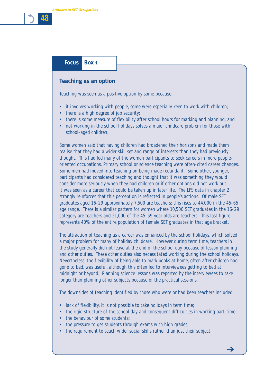## **Focus Box 1**

#### **Teaching as an option**

Teaching was seen as a positive option by some because:

- it involves working with people, some were especially keen to work with children;
- there is a high degree of job security;
- there is some measure of flexibility after school hours for marking and planning; and
- not working in the school holidays solves a major childcare problem for those with school-aged children.

Some women said that having children had broadened their horizons and made them realise that they had a wider skill set and range of interests than they had previously thought. This had led many of the women participants to seek careers in more peopleoriented occupations. Primary school or science teaching were often-cited career changes. Some men had moved into teaching on being made redundant. Some other, younger, participants had considered teaching and thought that it was something they would consider more seriously when they had children or if other options did not work out. It was seen as a career that could be taken up in later life. The LFS data in chapter 2 strongly reinforces that this perception is reflected in people's actions. Of male SET graduates aged 16-29 approximately 7,500 are teachers; this rises to 44,000 in the 45-65 age range. There is a similar pattern for women where 10,500 SET graduates in the 16-29 category are teachers and 21,000 of the 45-59 year olds are teachers. This last figure represents 40% of the entire population of female SET graduates in that age bracket.

The attraction of teaching as a career was enhanced by the school holidays, which solved a major problem for many of holiday childcare. However during term time, teachers in the study generally did not leave at the end of the school day because of lesson planning and other duties. These other duties also necessitated working during the school holidays. Nevertheless, the flexibility of being able to mark books at home, often after children had gone to bed, was useful, although this often led to interviewees getting to bed at midnight or beyond. Planning science lessons was reported by the interviewees to take longer than planning other subjects because of the practical sessions.

The downsides of teaching identified by those who were or had been teachers included:

- lack of flexibility, it is not possible to take holidays in term time;
- the rigid structure of the school day and consequent difficulties in working part-time;
- the behaviour of some students;
- the pressure to get students through exams with high grades;
- the requirement to teach wider social skills rather than just their subject.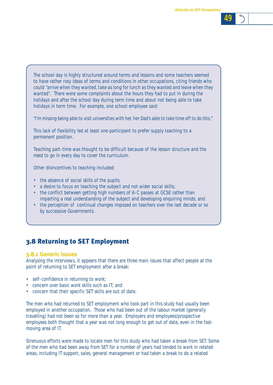

The school day is highly structured around terms and lessons and some teachers seemed to have rather rosy ideas of terms and conditions in other occupations, citing friends who could *"arrive when they wanted, take as long for lunch as they wanted and leave when they wanted"*. There were some complaints about the hours they had to put in during the holidays and after the school day during term time and about not being able to take holidays in term time. For example, one school employee said:

*"I'm missing being able to visit universities with her, her Dad's able to take time off to do this."* 

This lack of flexibility led at least one participant to prefer supply teaching to a permanent position.

Teaching part-time was thought to be difficult because of the lesson structure and the need to go in every day to cover the curriculum.

Other disincentives to teaching included:

- the absence of social skills of the pupils;
- a desire to focus on teaching the subject and not wider social skills;
- the conflict between getting high numbers of A-C passes at GCSE rather than imparting a real understanding of the subject and developing enquiring minds; and
- the perception of continual changes imposed on teachers over the last decade or so by successive Governments.

# 3.8 Returning to SET Employment

### **3.8.1 Generic issues**

Analysing the interviews, it appears that there are three main issues that affect people at the point of returning to SET employment after a break:

- self-confidence in returning to work;
- concern over basic work skills such as IT; and
- concern that their specific SET skills are out of date.

The men who had returned to SET employment who took part in this study had usually been employed in another occupation. Those who had been out of the labour market (generally travelling) had not been so for more than a year. Employers and employees/prospective employees both thought that a year was not long enough to get out of date, even in the fastmoving area of IT.

Strenuous efforts were made to locate men for this study who had taken a break from SET. Some of the men who had been away from SET for a number of years had tended to work in related areas, including IT support, sales, general management or had taken a break to do a related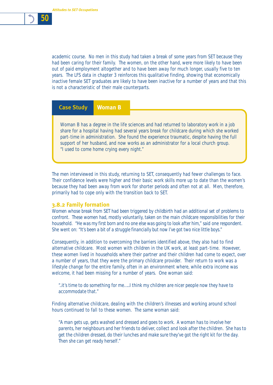

academic course. No men in this study had taken a break of some years from SET because they had been caring for their family. The women, on the other hand, were more likely to have been out of paid employment altogether and to have been away for much longer, usually five to ten years. The LFS data in chapter 3 reinforces this qualitative finding, showing that economically inactive female SET graduates are likely to have been inactive for a number of years and that this is not a characteristic of their male counterparts.

**Case Study Woman B**

Woman B has a degree in the life sciences and had returned to laboratory work in a job share for a hospital having had several years break for childcare during which she worked part-time in administration. She found the experience traumatic, despite having the full support of her husband, and now works as an administrator for a local church group. "I used to come home crying every night."

The men interviewed in this study, returning to SET, consequently had fewer challenges to face. Their confidence levels were higher and their basic work skills more up to date than the women's because they had been away from work for shorter periods and often not at all. Men, therefore, primarily had to cope only with the transition back to SET.

#### **3.8.2 Family formation**

Women whose break from SET had been triggered by childbirth had an additional set of problems to confront. These women had, mostly voluntarily, taken on the main childcare responsibilities for their household. *"He was my first born and no one else was going to look after him,"* said one respondent. She went on: *"It's been a bit of a struggle financially but now I've got two nice little boys."*

Consequently, in addition to overcoming the barriers identified above, they also had to find alternative childcare. Most women with children in the UK work, at least part-time. However, these women lived in households where their partner and their children had come to expect, over a number of years, that they were the primary childcare provider. Their return to work was a lifestyle change for the entire family, often in an environment where, while extra income was welcome, it had been missing for a number of years. One woman said:

*"..it's time to do something for me…..I think my children are nicer people now they have to accommodate that."*

Finding alternative childcare, dealing with the children's illnesses and working around school hours continued to fall to these women. The same woman said:

*"A man gets up, gets washed and dressed and goes to work. A woman has to involve her parents, her neighbours and her friends to deliver, collect and look after the children. She has to get the children dressed, do their lunches and make sure they've got the right kit for the day. Then she can get ready herself."*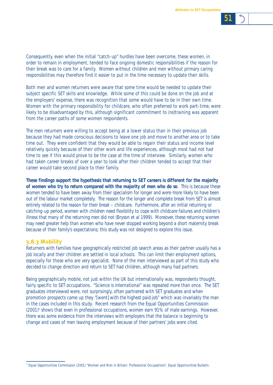

Consequently, even when the initial "catch-up" hurdles have been overcome, these women, in order to remain in employment, tended to face ongoing domestic responsibilities if the reason for their break was to care for a family. Women without children and men without primary caring responsibilities may therefore find it easier to put in the time necessary to update their skills.

Both men and women returners were aware that some time would be needed to update their subject specific SET skills and knowledge. While some of this could be done on the job and at the employers' expense, there was recognition that some would have to be in their own time. Women with the primary responsibility for childcare, who often preferred to work part-time, were likely to be disadvantaged by this, although significant commitment to (re)training was apparent from the career paths of some women respondents.

The men returners were willing to accept being at a lower status than in their previous job because they had made conscious decisions to leave one job and move to another area or to take time out. They were confident that they would be able to regain their status and income level relatively quickly because of their other work and life experiences, although most had not had time to see if this would prove to be the case at the time of interview. Similarly, women who had taken career breaks of over a year to look after their children tended to accept that their career would take second place to their family.

**These findings support the hypothesis that returning to SET careers is different for the majority of women who try to return compared with the majority of men who do so**. This is because these women tended to have been away from their specialism for longer and were more likely to have been out of the labour market completely. The reason for the longer and complete break from SET is almost entirely related to the reason for their break – childcare. Furthermore, after an initial returning or catching-up period, women with children need flexibility to cope with childcare failures and children's illness that many of the returning men did not (Bryson et al 1999). Moreover, these returning women may need greater help than women who have never stopped working beyond a short maternity break because of their family's expectations; this study was not designed to explore this issue.

### **3.8.3 Mobility**

Returners with families have geographically restricted job search areas as their partner usually has a job locally and their children are settled in local schools. This can limit their employment options, especially for those who are very specialist. None of the men interviewed as part of this study who decided to change direction and return to SET had children, although many had partners.

Being geographically mobile, not just within the UK but internationally was, respondents thought, fairly specific to SET occupations. *"Science is international"* was repeated more than once. The SET graduates interviewed were, not surprisingly, often partnered with SET graduates and when promotion prospects came up they *"[went] with the highest paid job"* which was invariably the man in the cases included in this study. Recent research from the Equal Opportunities Commission (2001)4 shows that even in professional occupations, women earn 91% of male earnings. However, there was some evidence from the interviews with employers that the balance is beginning to change and cases of men leaving employment because of their partners' jobs were cited.

*<sup>4</sup>* Equal Opportunities Commission (2001) "Women and Men in Britain: Professional Occupations", Equal Opportunities Bulletin.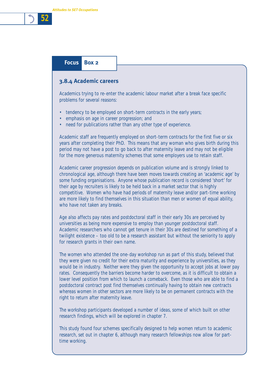*Attitudes to SET Occupations*

# *52*

## **Focus Box 2**

### **3.8.4 Academic careers**

Academics trying to re-enter the academic labour market after a break face specific problems for several reasons:

- tendency to be employed on short-term contracts in the early years;
- emphasis on age in career progression; and
- need for publications rather than any other type of experience.

Academic staff are frequently employed on short-term contracts for the first five or six years after completing their PhD. This means that any woman who gives birth during this period may not have a post to go back to after maternity leave and may not be eligible for the more generous maternity schemes that some employers use to retain staff.

Academic career progression depends on publication volume and is strongly linked to chronological age, although there have been moves towards creating an 'academic age' by some funding organisations. Anyone whose publication record is considered 'short' for their age by recruiters is likely to be held back in a market sector that is highly competitive. Women who have had periods of maternity leave and/or part-time working are more likely to find themselves in this situation than men or women of equal ability, who have not taken any breaks.

Age also affects pay rates and postdoctoral staff in their early 30s are perceived by universities as being more expensive to employ than younger postdoctoral staff. Academic researchers who cannot get tenure in their 30s are destined for something of a twilight existence – too old to be a research assistant but without the seniority to apply for research grants in their own name.

The women who attended the one-day workshop run as part of this study, believed that they were given no credit for their extra maturity and experience by universities, as they would be in industry. Neither were they given the opportunity to accept jobs at lower pay rates. Consequently the barriers become harder to overcome, as it is difficult to obtain a lower level position from which to launch a comeback. Even those who are able to find a postdoctoral contract post find themselves continually having to obtain new contracts whereas women in other sectors are more likely to be on permanent contracts with the right to return after maternity leave.

The workshop participants developed a number of ideas, some of which built on other research findings, which will be explored in chapter 7.

This study found four schemes specifically designed to help women return to academic research, set out in chapter 6, although many research fellowships now allow for parttime working.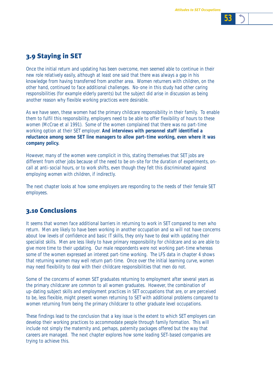Once the initial return and updating has been overcome, men seemed able to continue in their new role relatively easily, although at least one said that there was always a gap in his knowledge from having transferred from another area. Women returners with children, on the other hand, continued to face additional challenges. No-one in this study had other caring responsibilities (for example elderly parents) but the subject did arise in discussion as being another reason why flexible working practices were desirable.

As we have seen, these women had the primary childcare responsibility in their family. To enable them to fulfil this responsibility, employers need to be able to offer flexibility of hours to these women (McCrae et al 1991). Some of the women complained that there was no part-time working option at their SET employer. **And interviews with personnel staff identified a reluctance among some SET line managers to allow part-time working, even where it was company policy.**

However, many of the women were complicit in this, stating themselves that SET jobs are different from other jobs because of the need to be on-site for the duration of experiments, oncall at anti-social hours, or to work shifts, even though they felt this discriminated against employing women with children, if indirectly.

The next chapter looks at how some employers are responding to the needs of their female SET employees.

## 3.10 Conclusions

It seems that women face additional barriers in returning to work in SET compared to men who return. Men are likely to have been working in another occupation and so will not have concerns about low levels of confidence and basic IT skills, they only have to deal with updating their specialist skills. Men are less likely to have primary responsibility for childcare and so are able to give more time to their updating. Our male respondents were not working part-time whereas some of the women expressed an interest part-time working. The LFS data in chapter 4 shows that returning women may well return part-time. Once over the initial learning curve, women may need flexibility to deal with their childcare responsibilities that men do not.

Some of the concerns of women SET graduates returning to employment after several years as the primary childcarer are common to all women graduates. However, the combination of up-dating subject skills and employment practices in SET occupations that are, or are perceived to be, less flexible, might present women returning to SET with additional problems compared to women returning from being the primary childcarer to other graduate level occupations.

These findings lead to the conclusion that a key issue is the extent to which SET employers can develop their working practices to accommodate people through family formation. This will include not simply the maternity and, perhaps, paternity packages offered but the way that careers are managed. The next chapter explores how some leading SET-based companies are trying to achieve this.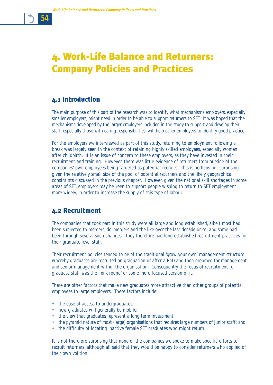# 4. Work-Life Balance and Returners: Company Policies and Practices

## 4.1 Introduction

The main purpose of this part of the research was to identify what mechanisms employers, especially smaller employers, might need in order to be able to support returners to SET. It was hoped that the mechanisms developed by the larger employers included in the study to support and develop their staff, especially those with caring responsibilities, will help other employers to identify good practice.

For the employers we interviewed as part of this study, returning to employment following a break was largely seen in the context of retaining highly skilled employees, especially women after childbirth. It is an issue of concern to these employers, as they have invested in their recruitment and training. However, there was little evidence of returners from outside of the companies' own employees being targeted as potential recruits. This is perhaps not surprising given the relatively small size of the pool of potential returners and the likely geographical constraints discussed in the previous chapter. However, given the national skill shortages in some areas of SET, employers may be keen to support people wishing to return to SET employment more widely, in order to increase the supply of this type of labour.

## 4.2 Recruitment

The companies that took part in this study were all large and long established, albeit most had been subjected to mergers, de-mergers and the like over the last decade or so, and some had been through several such changes. They therefore had long established recruitment practices for their graduate level staff.

Their recruitment policies tended to be of the traditional 'grow your own' management structure whereby graduates are recruited on graduation or after a PhD and then groomed for management and senior management within the organisation. Consequently the focus of recruitment for graduate staff was the 'milk round' or some more focused version of it.

There are other factors that make new graduates more attractive than other groups of potential employees to large employers. These factors include:

- the ease of access to undergraduates;
- new graduates will generally be mobile;
- the view that graduates represent a long term investment;
- the pyramid nature of most (large) organisations that requires large numbers of junior staff; and
- the difficulty of locating inactive female SET graduates who might return.

It is not therefore surprising that none of the companies we spoke to make specific efforts to recruit returners, although all said that they would be happy to consider returners who applied of their own volition.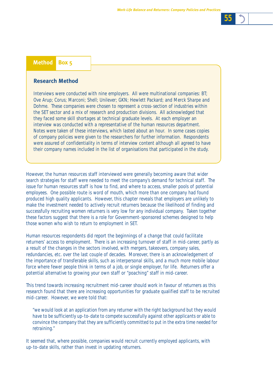### **Method Box 5**

#### **Research Method**

Interviews were conducted with nine employers. All were multinational companies: BT; Ove Arup; Corus; Marconi; Shell; Unilever; GKN; Hewlett Packard; and Merck Sharpe and Dohme. These companies were chosen to represent a cross-section of industries within the SET sector and a mix of research and production divisions. All acknowledged that they faced some skill shortages at technical graduate levels. At each employer an interview was conducted with a representative of the human resources department. Notes were taken of these interviews, which lasted about an hour. In some cases copies of company policies were given to the researchers for further information. Respondents were assured of confidentiality in terms of interview content although all agreed to have their company names included in the list of organisations that participated in the study.

However, the human resources staff interviewed were generally becoming aware that wider search strategies for staff were needed to meet the company's demand for technical staff. The issue for human resources staff is how to find, and where to access, smaller pools of potential employees. One possible route is word of mouth, which more than one company had found produced high quality applicants. However, this chapter reveals that employers are unlikely to make the investment needed to actively recruit returners because the likelihood of finding and successfully recruiting women returners is very low for any individual company. Taken together these factors suggest that there is a role for Government-sponsored schemes designed to help those women who wish to return to employment in SET.

Human resources respondents did report the beginnings of a change that could facilitate returners' access to employment. There is an increasing turnover of staff in mid-career, partly as a result of the changes in the sectors involved, with mergers, takeovers, company sales, redundancies, etc. over the last couple of decades. Moreover, there is an acknowledgement of the importance of transferable skills, such as interpersonal skills, and a much more mobile labour force where fewer people think in terms of a job, or single employer, for life. Returners offer a potential alternative to growing your own staff or "poaching" staff in mid-career.

This trend towards increasing recruitment mid-career should work in favour of returners as this research found that there are increasing opportunities for graduate qualified staff to be recruited mid-career. However, we were told that:

*"we would look at an application from any returner with the right background but they would have to be sufficiently up-to-date to compete successfully against other applicants or able to convince the company that they are sufficiently committed to put in the extra time needed for retraining."* 

It seemed that, where possible, companies would recruit currently employed applicants, with up-to-date skills, rather than invest in updating returners.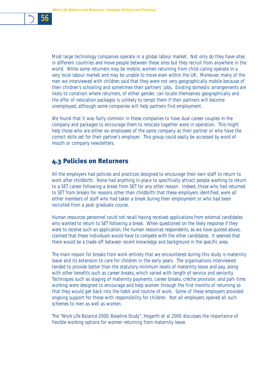Most large technology companies operate in a global labour market. Not only do they have sites in different countries and move people between these sites but they recruit from anywhere in the world. While some returners may be mobile, women returning from child-caring operate in a very local labour market and may be unable to move even within the UK. Moreover, many of the men we interviewed with children said that they were not very geographically mobile because of their children's schooling and sometimes their partners' jobs. Existing domestic arrangements are likely to constrain where returners, of either gender, can locate themselves geographically and the offer of relocation packages is unlikely to tempt them if their partners will become unemployed, although some companies will help partners find employment.

We found that it was fairly common in these companies to have dual career couples in the company and packages to encourage them to relocate together were in operation. This might help those who are either ex-employees of the same company as their partner or who have the correct skills set for their partner's employer. This group could easily be accessed by word of mouth or company newsletters.

## 4.3 Policies on Returners

All the employers had policies and practices designed to encourage their own staff to return to work after childbirth. None had anything in place to specifically attract people wanting to return to a SET career following a break from SET for any other reason. Indeed, those who had returned to SET from breaks for reasons other than childbirth that these employers identified, were all either members of staff who had taken a break during their employment or who had been recruited from a post-graduate course.

Human resources personnel could not recall having received applications from external candidates who wanted to return to SET following a break. When questioned on the likely response if they were to receive such an application, the human resources respondents, as we have quoted above, claimed that these individuals would have to compete with the other candidates. It seemed that there would be a trade-off between recent knowledge and background in the specific area.

The main reason for breaks from work *entirely* that we encountered during this study is maternity leave and its extension to care for children in the early years. The organisations interviewed tended to provide better than the statutory minimum levels of maternity leave and pay, along with other benefits such as career breaks, which varied with length of service and seniority. Techniques such as staging of maternity payments, career breaks, crèche provision, and part-time working were designed to encourage and help women through the first months of returning so that they would get back into the habit and routine of work. Some of these employers provided ongoing support for those with responsibility for children. Not all employers opened all such schemes to men as well as women.

The *"Work Life Balance 2000; Baseline Study",* Hogarth et al 2000 discusses the importance of flexible working options for women returning from maternity leave.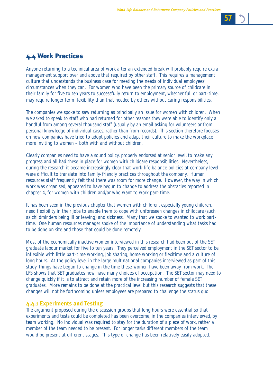

## 4.4 Work Practices

Anyone returning to a technical area of work after an extended break will probably require extra management support over and above that required by other staff. This requires a management culture that understands the business case for meeting the needs of individual employees' circumstances when they can. For women who have been the primary source of childcare in their family for five to ten years to successfully return to employment, whether full or part-time, may require longer term flexibility than that needed by others without caring responsibilities.

The companies we spoke to saw returning as principally an issue for women with children. When we asked to speak to staff who had returned for other reasons they were able to identify only a handful from among several thousand staff (usually by an email asking for volunteers or from personal knowledge of individual cases, rather than from records). This section therefore focuses on how companies have tried to adopt policies and adapt their culture to make the workplace more inviting to women – both with and without children.

Clearly companies need to have a sound policy, properly endorsed at senior level, to make any progress and all had these in place for women with childcare responsibilities. Nevertheless, during the research it became increasingly clear that work-life balance policies at company level were difficult to translate into family-friendly practices throughout the company. Human resources staff frequently felt that there was room for more change. However, the way in which work was organised, appeared to have begun to change to address the obstacles reported in chapter 4, for women with children and/or who want to work part-time.

It has been seen in the previous chapter that women with children, especially young children, need flexibility in their jobs to enable them to cope with unforeseen changes in childcare (such as childminders being ill or leaving) and sickness. Many that we spoke to wanted to work parttime. One human resources manager spoke of the importance of understanding what tasks had to be done on site and those that could be done remotely.

Most of the economically inactive women interviewed in this research had been out of the SET graduate labour market for five to ten years. They perceived employment in the SET sector to be inflexible with little part-time working, job sharing, home working or flexitime and a culture of long hours. At the policy level in the large multinational companies interviewed as part of this study, things have begun to change in the time these women have been away from work. The LFS shows that SET graduates now have many choices of occupation. The SET sector may need to change quickly if it is to attract and retain more of the increasing number of female SET graduates. More remains to be done at the practical level but this research suggests that these changes will not be forthcoming unless employees are prepared to challenge the status quo.

#### **4.4.1 Experiments and Testing**

The argument proposed during the discussion groups that long hours were essential so that experiments and tests could be completed has been overcome, in the companies interviewed, by team working. No individual was required to stay for the duration of a piece of work, rather a member of the team needed to be present. For longer tasks different members of the team would be present at different stages. This type of change has been relatively easily adopted.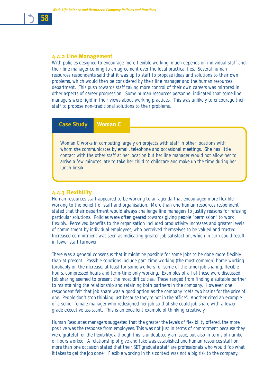#### **4.4.2 Line Management**

*58*

With policies designed to encourage more flexible working, much depends on individual staff and their line manager coming to an agreement over the local practicalities. Several human resources respondents said that it was up to staff to propose ideas and solutions to their own problems, which would then be considered by their line manager and the human resources department. This push towards staff taking more control of their own careers was mirrored in other aspects of career progression. Some human resources personnel indicated that some line managers were rigid in their views about working practices. This was unlikely to encourage their staff to propose non-traditional solutions to their problems.

#### **Case Study Woman C**

Woman C works in computing largely on projects with staff in other locations with whom she communicates by email, telephone and occasional meetings. She has little contact with the other staff at her location but her line manager would not allow her to arrive a few minutes late to take her child to childcare and make up the time during her lunch break.

#### **4.4.3 Flexibility**

Human resources staff appeared to be working to an agenda that encouraged more flexible working to the benefit of staff and organisation. More than one human resources respondent stated that their department would always challenge line managers to justify reasons for refusing particular solutions. Policies were often geared towards giving people *"permission"* to work flexibly. Perceived benefits to the organisation included productivity increases and greater levels of commitment by individual employees, who perceived themselves to be valued and trusted. Increased commitment was seen as indicating greater job satisfaction, which in turn could result in lower staff turnover.

There was a general consensus that it might be possible for some jobs to be done more flexibly than at present. Possible solutions include part-time working (the most common) home working (probably on the increase, at least for some workers for some of the time) job sharing, flexible hours, compressed hours and term-time only working. Examples of all of these were discussed. Job sharing seemed to present the most difficulties. These ranged from finding a suitable partner to maintaining the relationship and retaining both partners in the company. However, one respondent felt that job share was a good option as the company *"gets two brains for the price of one. People don't stop thinking just because they're not in the office".* Another cited an example of a senior female manager who redesigned her job so that she could job share with a lower grade executive assistant. This is an excellent example of thinking creatively.

Human Resources managers suggested that the greater the levels of flexibility offered, the more positive was the response from employees. This was not just in terms of commitment because they were grateful for the flexibility, although this is undoubtedly an issue, but also in terms of number of hours worked. A relationship of give and take was established and human resources staff on more than one occasion stated that their SET graduate staff are professionals who would *"do what it takes to get the job done".* Flexible working in this context was not a big risk to the company.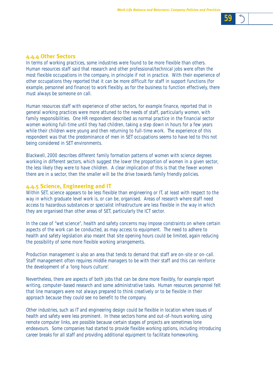

#### **4.4.4 Other Sectors**

In terms of working practices, some industries were found to be more flexible than others. Human resources staff said that research and other professional/technical jobs were often the most flexible occupations in the company, in principle if not in practice. With their experience of other occupations they reported that it can be more difficult for staff in support functions (for example, personnel and finance) to work flexibly, as for the business to function effectively, there must always be someone on call.

Human resources staff with experience of other sectors, for example finance, reported that in general working practices were more attuned to the needs of staff, particularly women, with family responsibilities. One HR respondent described as normal practice in the financial sector women working full-time until they had children, taking a step down in hours for a few years while their children were young and then returning to full-time work. The experience of this respondent was that the predominance of men in SET occupations seems to have led to this not being considered in SET environments.

Blackwell, 2000 describes different family formation patterns of women with science degrees working in different sectors, which suggest the lower the proportion of women in a given sector, the less likely they were to have children. A clear implication of this is that the fewer women there are in a sector, then the smaller will be the drive towards family friendly policies.

#### **4.4.5 Science, Engineering and IT**

Within SET, science appears to be less flexible than engineering or IT, at least with respect to the way in which graduate level work is, or can be, organised. Areas of research where staff need access to hazardous substances or specialist infrastructure are less flexible in the way in which they are organised than other areas of SET, particularly the ICT sector.

In the case of *"wet science"*, health and safety concerns may impose constraints on where certain aspects of the work can be conducted, as may access to equipment. The need to adhere to health and safety legislation also meant that site opening hours could be limited, again reducing the possibility of some more flexible working arrangements.

Production management is also an area that tends to demand that staff are on-site or on-call. Staff management often requires middle managers to be with their staff and this can reinforce the development of a 'long hours culture'.

Nevertheless, there are aspects of both jobs that can be done more flexibly, for example report writing, computer-based research and some administrative tasks. Human resources personnel felt that line managers were not always prepared to think creatively or to be flexible in their approach because they could see no benefit to the company.

Other industries, such as IT and engineering design could be flexible in location where issues of health and safety were less prominent. In these sectors home and out-of-hours working, using remote computer links, are possible because certain stages of projects are sometimes lone endeavours. Some companies had started to provide flexible working options, including introducing career breaks for all staff and providing additional equipment to facilitate homeworking.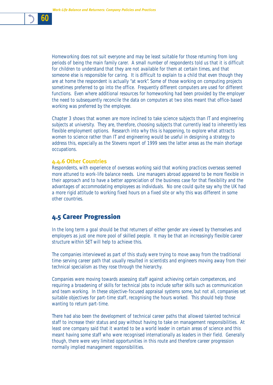

Homeworking does not suit everyone and may be least suitable for those returning from long periods of being the main family carer. A small number of respondents told us that it is difficult for children to understand that they are not available for them at certain times, and that someone else is responsible for caring. It is difficult to explain to a child that even though they are at home the respondent is actually "at work". Some of those working on computing projects sometimes preferred to go into the office. Frequently different computers are used for different functions. Even where additional resources for homeworking had been provided by the employer the need to subsequently reconcile the data on computers at two sites meant that office-based working was preferred by the employee.

Chapter 3 shows that women are more inclined to take science subjects than IT and engineering subjects at university. They are, therefore, choosing subjects that currently lead to inherently less flexible employment options. Research into why this is happening, to explore what attracts women to science rather than IT and engineering would be useful in designing a strategy to address this, especially as the Stevens report of 1999 sees the latter areas as the main shortage occupations.

#### **4.4.6 Other Countries**

Respondents, with experience of overseas working said that working practices overseas seemed more attuned to work-life balance needs. Line managers abroad appeared to be more flexible in their approach and to have a better appreciation of the business case for that flexibility and the advantages of accommodating employees as individuals. No one could quite say why the UK had a more rigid attitude to working fixed hours on a fixed site or why this was different in some other countries.

## 4.5 Career Progression

In the long term a goal should be that returners of either gender are viewed by themselves and employers as just one more pool of skilled people. It may be that an increasingly flexible career structure within SET will help to achieve this.

The companies interviewed as part of this study were trying to move away from the traditional time-serving career path that usually resulted in scientists and engineers moving away from their technical specialism as they rose through the hierarchy.

Companies were moving towards assessing staff against achieving certain competences, and requiring a broadening of skills for technical jobs to include softer skills such as communication and team working. In these objective-focused appraisal systems some, but not all, companies set suitable objectives for part-time staff, recognising the hours worked. This should help those wanting to return part-time.

There had also been the development of technical career paths that allowed talented technical staff to increase their status and pay without having to take on management responsibilities. At least one company said that it wanted to be a world leader in certain areas of science and this meant having some staff who were recognised internationally as leaders in their field. Generally though, there were very limited opportunities in this route and therefore career progression normally implied management responsibilities.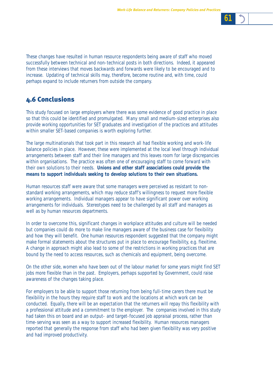

These changes have resulted in human resource respondents being aware of staff who moved successfully between technical and non-technical posts in both directions. Indeed, it appeared from these interviews that moves backwards and forwards were likely to be encouraged and to increase. Updating of technical skills may, therefore, become routine and, with time, could perhaps expand to include returners from outside the company.

# 4.6 Conclusions

This study focused on large employers where there was some evidence of good practice in place so that this could be identified and promulgated. Many small and medium-sized enterprises also provide working opportunities for SET graduates and investigation of the practices and attitudes within smaller SET-based companies is worth exploring further.

The large multinationals that took part in this research all had flexible working and work-life balance policies in place. However, these were implemented at the local level through individual arrangements between staff and their line managers and this leaves room for large discrepancies within organisations. The practice was often one of encouraging staff to come forward with their own solutions to their needs. **Unions and other staff associations could provide the means to support individuals seeking to develop solutions to their own situations.** 

Human resources staff were aware that some managers were perceived as resistant to nonstandard working arrangements, which may reduce staff's willingness to request more flexible working arrangements. Individual managers appear to have significant power over working arrangements for individuals. Stereotypes need to be challenged by all staff and managers as well as by human resources departments.

In order to overcome this, significant changes in workplace attitudes and culture will be needed but companies could do more to make line managers aware of the business case for flexibility and how they will benefit. One human resources respondent suggested that the company might make formal statements about the structures put in place to encourage flexibility, e.g. flexitime. A change in approach might also lead to some of the restrictions in working practices that are bound by the need to access resources, such as chemicals and equipment, being overcome.

On the other side, women who have been out of the labour market for some years might find SET jobs more flexible than in the past. Employers, perhaps supported by Government, could raise awareness of the changes taking place.

For employers to be able to support those returning from being full-time carers there must be flexibility in the hours they require staff to work and the locations at which work can be conducted. Equally, there will be an expectation that the returners will repay this flexibility with a professional attitude and a commitment to the employer. The companies involved in this study had taken this on board and an output- and target-focused job appraisal process, rather than time-serving was seen as a way to support increased flexibility. Human resources managers reported that generally the response from staff who had been given flexibility was very positive and had improved productivity.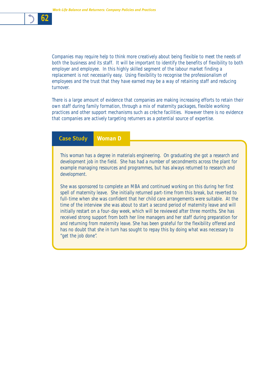

Companies may require help to think more creatively about being flexible to meet the needs of both the business and its staff. It will be important to identify the benefits of flexibility to both employer and employee. In this highly skilled segment of the labour market finding a replacement is not necessarily easy. Using flexibility to recognise the professionalism of employees and the trust that they have earned may be a way of retaining staff and reducing turnover.

There is a large amount of evidence that companies are making increasing efforts to retain their own staff during family formation, through a mix of maternity packages, flexible working practices and other support mechanisms such as crèche facilities. However there is no evidence that companies are actively targeting returners as a potential source of expertise.

#### **Case Study Woman D**

This woman has a degree in materials engineering. On graduating she got a research and development job in the field. She has had a number of secondments across the plant for example managing resources and programmes, but has always returned to research and development.

She was sponsored to complete an MBA and continued working on this during her first spell of maternity leave. She initially returned part-time from this break, but reverted to full-time when she was confident that her child care arrangements were suitable. At the time of the interview she was about to start a second period of maternity leave and will initially restart on a four-day week, which will be reviewed after three months. She has received strong support from both her line managers and her staff during preparation for and returning from maternity leave. She has been grateful for the flexibility offered and has no doubt that she in turn has sought to repay this by doing what was necessary to "get the job done".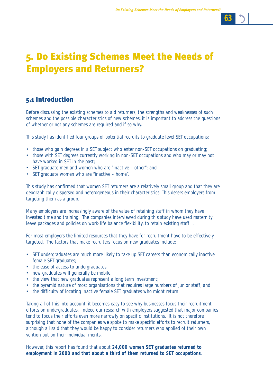

# 5. Do Existing Schemes Meet the Needs of Employers and Returners?

# 5.1 Introduction

Before discussing the existing schemes to aid returners, the strengths and weaknesses of such schemes and the possible characteristics of new schemes, it is important to address the questions of whether or not any schemes are required and if so why.

This study has identified four groups of potential recruits to graduate level SET occupations:

- those who gain degrees in a SET subject who enter non-SET occupations on graduating;
- those with SET degrees currently working in non-SET occupations and who may or may not have worked in SET in the past;
- SET graduate men and women who are "inactive other"; and
- SET graduate women who are "inactive home".

This study has confirmed that women SET returners are a relatively small group and that they are geographically dispersed and heterogeneous in their characteristics. This deters employers from targeting them as a group.

Many employers are increasingly aware of the value of retaining staff in whom they have invested time and training. The companies interviewed during this study have used maternity leave packages and policies on work-life balance flexibility, to retain existing staff...

For most employers the limited resources that they have for recruitment have to be effectively targeted. The factors that make recruiters focus on new graduates include:

- SET undergraduates are much more likely to take up SET careers than economically inactive female SET graduates;
- the ease of access to undergraduates;
- new graduates will generally be mobile;
- the view that new graduates represent a long term investment;
- the pyramid nature of most organisations that requires large numbers of junior staff; and
- the difficulty of locating inactive female SET graduates who might return.

Taking all of this into account, it becomes easy to see why businesses focus their recruitment efforts on undergraduates. Indeed our research with employers suggested that major companies tend to focus their efforts even more narrowly on specific institutions. It is not therefore surprising that none of the companies we spoke to make specific efforts to recruit returners, although all said that they would be happy to consider returners who applied of their own volition but on their individual merits.

However, this report has found that about **24,000 women SET graduates returned to employment in 2000 and that about a third of them returned to SET occupations.**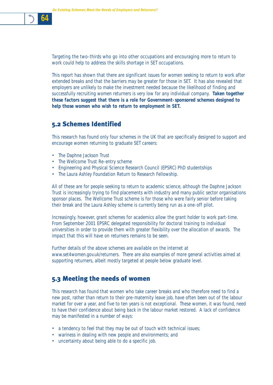Targeting the two-thirds who go into other occupations and encouraging more to return to work could help to address the skills shortage in SET occupations.

This report has shown that there are significant issues for women seeking to return to work after extended breaks and that the barriers may be greater for those in SET. It has also revealed that employers are unlikely to make the investment needed because the likelihood of finding and successfully recruiting women returners is very low for any individual company. **Taken together these factors suggest that there is a role for Government-sponsored schemes designed to help those women who wish to return to employment in SET.** 

## 5.2 Schemes Identified

This research has found only four schemes in the UK that are specifically designed to support and encourage women returning to graduate SET careers:

- The Daphne Jackson Trust
- The Wellcome Trust Re-entry scheme
- Engineering and Physical Science Research Council (EPSRC) PhD studentships
- The Laura Ashley Foundation Return to Research Fellowship.

All of these are for people seeking to return to academic science, although the Daphne Jackson Trust is increasingly trying to find placements with industry and many public sector organisations sponsor places. The Wellcome Trust scheme is for those who were fairly senior before taking their break and the Laura Ashley scheme is currently being run as a one-off pilot.

Increasingly, however, grant schemes for academics allow the grant holder to work part-time. From September 2001 EPSRC delegated responsibility for doctoral training to individual universities in order to provide them with greater flexibility over the allocation of awards. The impact that this will have on returners remains to be seen.

Further details of the above schemes are available on the internet at www.set4women.gov.uk/returners. There are also examples of more general activities aimed at supporting returners, albeit mostly targeted at people below graduate level.

## 5.3 Meeting the needs of women

This research has found that women who take career breaks and who therefore need to find a new post, rather than return to their pre-maternity leave job, have often been out of the labour market for over a year, and five to ten years is not exceptional. These women, it was found, need to have their confidence about being back in the labour market restored. A lack of confidence may be manifested in a number of ways:

- a tendency to feel that they may be out of touch with technical issues;
- wariness in dealing with new people and environments; and
- uncertainty about being able to do a specific job.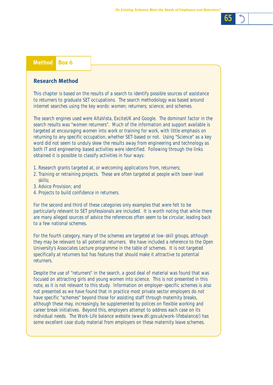

| <b>ANGULUL DUA</b> 1 |  |
|----------------------|--|
|                      |  |

### **Research Method**

This chapter is based on the results of a search to identify possible sources of assistance to returners to graduate SET occupations. The search methodology was based around internet searches using the key words: women; returners; science; and schemes.

The search engines used were AltaVista, ExciteUK and Google. The dominant factor in the search results was "women returners". Much of the information and support available is targeted at encouraging women into work or training for work, with little emphasis on returning to any specific occupation, whether SET-based or not. Using "Science" as a key word did not seem to unduly skew the results away from engineering and technology as both IT and engineering-based activities were identified. Following through the links obtained it is possible to classify activities in four ways:

- 1. Research grants targeted at, or welcoming applications from, returners;
- 2. Training or retraining projects. These are often targeted at people with lower-level skills;
- 3. Advice Provision; and
- 4. Projects to build confidence in returners.

For the second and third of these categories only examples that were felt to be particularly relevant to SET professionals are included. It is worth noting that while there are many alleged sources of advice the references often seem to be circular, leading back to a few national schemes.

For the fourth category, many of the schemes are targeted at low-skill groups, although they may be relevant to all potential returners. We have included a reference to the Open University's Associates Lecture programme in the table of schemes. It is not targeted specifically at returners but has features that should make it attractive to potential returners.

Despite the use of "returners" in the search, a good deal of material was found that was focused on attracting girls and young women into science. This is not presented in this note, as it is not relevant to this study. Information on employer-specific schemes is also not presented as we have found that in practice most private sector employers do not have specific "schemes" beyond those for assisting staff through maternity breaks, although these may, increasingly, be supplemented by polices on flexible working and career break initiatives. Beyond this, employers attempt to address each case on its individual needs. The Work-Life balance website (www.dti.gov.uk/work-lifebalance/) has some excellent case study material from employers on these maternity leave schemes.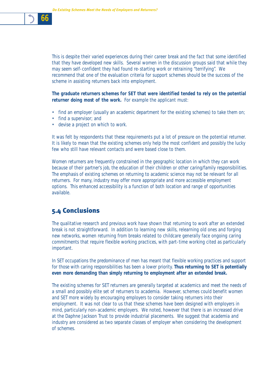This is despite their varied experiences during their career break and the fact that some identified that they have developed new skills. Several women in the discussion groups said that while they may seem self-confident they had found re-starting work or retraining *"terrifying".* We recommend that one of the evaluation criteria for support schemes should be the success of the scheme in assisting returners back into employment.

**The graduate returners schemes for SET that were identified tended to rely on the potential returner doing most of the work.** For example the applicant must:

- find an employer (usually an academic department for the existing schemes) to take them on;
- find a supervisor; and
- devise a project on which to work.

It was felt by respondents that these requirements put a lot of pressure on the potential returner. It is likely to mean that the existing schemes only help the most confident and possibly the lucky few who still have relevant contacts and were based close to them.

Women returners are frequently constrained in the geographic location in which they can work because of their partner's job, the education of their children or other caring/family responsibilities. The emphasis of existing schemes on returning to academic science may not be relevant for all returners. For many, industry may offer more appropriate and more accessible employment options. This enhanced accessibility is a function of both location and range of opportunities available.

## 5.4 Conclusions

The qualitative research and previous work have shown that returning to work after an extended break is not straightforward. In addition to learning new skills, relearning old ones and forging new networks, women returning from breaks related to childcare generally face ongoing caring commitments that require flexible working practices, with part-time working cited as particularly important.

In SET occupations the predominance of men has meant that flexible working practices and support for those with caring responsibilities has been a lower priority. **Thus returning to SET is potentially even more demanding than simply returning to employment after an extended break.**

The existing schemes for SET returners are generally targeted at academics and meet the needs of a small and possibly elite set of returners to academia. However, schemes could benefit women and SET more widely by encouraging employers to consider taking returners into their employment. It was not clear to us that these schemes have been designed with employers in mind, particularly non-academic employers. We noted, however that there is an increased drive at the Daphne Jackson Trust to provide industrial placements. We suggest that academia and industry are considered as two separate classes of employer when considering the development of schemes.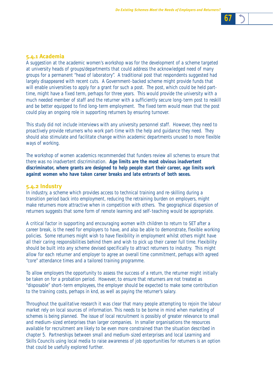### **5.4.1 Academia**

A suggestion at the academic women's workshop was for the development of a scheme targeted at university heads of groups/departments that could address the acknowledged need of many groups for a permanent "head of laboratory". A traditional post that respondents suggested had largely disappeared with recent cuts. A Government-backed scheme might provide funds that will enable universities to apply for a grant for such a post. The post, which could be held parttime, might have a fixed term, perhaps for three years. This would provide the university with a much needed member of staff and the returner with a sufficiently secure long-term post to reskill and be better equipped to find long-term employment. The fixed term would mean that the post could play an ongoing role in supporting returners by ensuring turnover.

This study did not include interviews with any university personnel staff. However, they need to proactively provide returners who work part-time with the help and guidance they need. They should also stimulate and facilitate change within academic departments unused to more flexible ways of working.

The workshop of women academics recommended that funders review all schemes to ensure that there was no inadvertent discrimination. **Age limits are the most obvious inadvertent discriminator, where grants are designed to help people start their career, age limits work against women who have taken career breaks and late entrants of both sexes.**

#### **5.4.2 Industry**

In industry, a scheme which provides access to technical training and re-skilling during a transition period back into employment, reducing the retraining burden on employers, might make returners more attractive when in competition with others. The geographical dispersion of returners suggests that some form of remote learning and self-teaching would be appropriate.

A critical factor in supporting and encouraging women with children to return to SET after a career break, is the need for employers to have, and also be able to demonstrate, flexible working policies. Some returners might wish to have flexibility in employment whilst others might have all their caring responsibilities behind them and wish to pick up their career full time. Flexibility should be built into any scheme devised specifically to attract returners to industry. This might allow for each returner and employer to agree an overall time commitment, perhaps with agreed "core" attendance times and a tailored training programme.

To allow employers the opportunity to assess the success of a return, the returner might initially be taken on for a probation period. However, to ensure that returners are not treated as "disposable" short-term employees, the employer should be expected to make some contribution to the training costs, perhaps in knd, as well as paying the returner's salary.

Throughout the qualitative research it was clear that many people attempting to rejoin the labour market rely on local sources of information. This needs to be borne in mind when marketing of schemes is being planned. The issue of local recruitment is possibly of greater relevance to small and medium-sized enterprises than larger companies. In smaller organisations the resources available for recruitment are likely to be even more constrained than the situation described in chapter 5. Partnerships between small and medium-sized enterprises and local Learning and Skills Councils using local media to raise awareness of job opportunities for returners is an option that could be usefully explored further.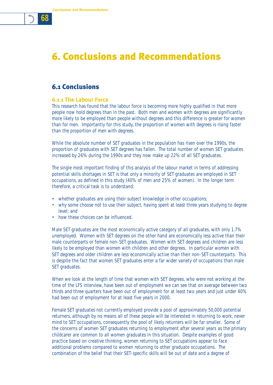# 6. Conclusions and Recommendations

## 6.1 Conclusions

#### **6.1.1 The Labour Force**

This research has found that the labour force is becoming more highly qualified in that more people now hold degrees than in the past. Both men and women with degrees are significantly more likely to be employed than people without degrees and this difference is greater for women than for men. Importantly for this study, the proportion of women with degrees is rising faster than the proportion of men with degrees.

While the absolute number of SET graduates in the population has risen over the 1990s, the proportion of graduates with SET degrees has fallen. The total number of women SET graduates increased by 26% during the 1990s and they now make up 22% of all SET graduates.

The single most important finding of this analysis of the labour market in terms of addressing potential skills shortages in SET is that only a minority of SET graduates are employed in SET occupations, as defined in this study (40% of men and 25% of women). In the longer term therefore, a critical task is to understand:

- whether graduates are using their subject knowledge in other occupations;
- why some choose not to use their subject, having spent at least three years studying to degree level; and
- how these choices can be influenced.

Male SET graduates are the most economically active category of all graduates, with only 1.7% unemployed. Women with SET degrees on the other hand are economically less active than their male counterparts or female non-SET graduates. Women with SET degrees and children are less likely to be employed than women with children and other degrees. In particular women with SET degrees and older children are less economically active than their non-SET counterparts. This is despite the fact that women SET graduates enter a far wider variety of occupations than male SET graduates.

When we look at the length of time that women with SET degrees, who were not working at the time of the LFS interview, have been out of employment we can see that on average between two thirds and three quarters have been out of employment for at least two years and just under 40% had been out of employment for at least five years in 2000.

Female SET graduates not currently employed provide a pool of approximately 50,000 potential returners, although by no means all of these people will be interested in returning to work, never mind to SET occupations, consequently the pool of likely returners will be far smaller. Some of the concerns of women SET graduates returning to employment after several years as the primary childcarer are common to all women graduates in this situation. Despite examples of good practice based on creative thinking, women returning to SET occupations appear to face additional problems compared to women returning to other graduate occupations. The combination of the belief that their SET-specific skills will be out of date and a degree of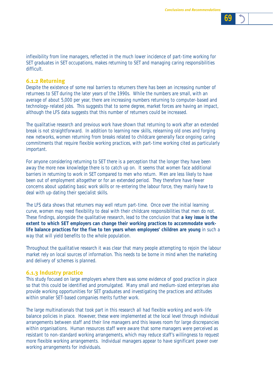

inflexibility from line managers, reflected in the much lower incidence of part-time working for SET graduates in SET occupations, makes returning to SET and managing caring responsibilities difficult.

#### **6.1.2 Returning**

Despite the existence of some real barriers to returners there has been an increasing number of returnees to SET during the later years of the 1990s. While the numbers are small, with an average of about 5,000 per year, there are increasing numbers returning to computer-based and technology-related jobs. This suggests that to some degree, market forces are having an impact, although the LFS data suggests that this number of returners could be increased.

The qualitative research and previous work have shown that returning to work after an extended break is not straightforward. In addition to learning new skills, relearning old ones and forging new networks, women returning from breaks related to childcare generally face ongoing caring commitments that require flexible working practices, with part-time working cited as particularly important.

For anyone considering returning to SET there is a perception that the longer they have been away the more new knowledge there is to catch up on. It seems that women face additional barriers in returning to work in SET compared to men who return. Men are less likely to have been out of employment altogether or for an extended period. They therefore have fewer concerns about updating basic work skills or re-entering the labour force, they mainly have to deal with up-dating their specialist skills.

The LFS data shows that returners may well return part-time. Once over the initial learning curve, women may need flexibility to deal with their childcare responsibilities that men do not. These findings, alongside the qualitative research, lead to the conclusion that **a key issue is the extent to which SET employers can change their working practices to accommodate worklife balance practices for the five to ten years when employees' children are young** in such a way that will yield benefits to the whole population.

Throughout the qualitative research it was clear that many people attempting to rejoin the labour market rely on local sources of information. This needs to be borne in mind when the marketing and delivery of schemes is planned.

#### **6.1.3 Industry practice**

This study focused on large employers where there was some evidence of good practice in place so that this could be identified and promulgated. Many small and medium-sized enterprises also provide working opportunities for SET graduates and investigating the practices and attitudes within smaller SET-based companies merits further work.

The large multinationals that took part in this research all had flexible working and work-life balance policies in place. However, these were implemented at the local level through individual arrangements between staff and their line managers and this leaves room for large discrepancies within organisations. Human resources staff were aware that some managers were perceived as resistant to non-standard working arrangements, which may reduce staff's willingness to request more flexible working arrangements. Individual managers appear to have significant power over working arrangements for individuals.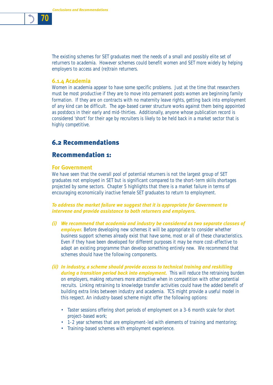

The existing schemes for SET graduates meet the needs of a small and possibly elite set of returners to academia. However schemes could benefit women and SET more widely by helping employers to access and (re)train returners.

#### **6.1.4 Academia**

Women in academia appear to have some specific problems. Just at the time that researchers must be most productive if they are to move into permanent posts women are beginning family formation. If they are on contracts with no maternity leave rights, getting back into employment of any kind can be difficult. The age-based career structure works against them being appointed as postdocs in their early and mid-thirties. Additionally, anyone whose publication record is considered 'short' for their age by recruiters is likely to be held back in a market sector that is highly competitive.

## 6.2 Recommendations

## Recommendation 1:

#### **For Government**

We have seen that the overall pool of potential returners is not the largest group of SET graduates not employed in SET but is significant compared to the short-term skills shortages projected by some sectors. Chapter 5 highlights that there is a market failure in terms of encouraging economically inactive female SET graduates to return to employment.

#### *To address the market failure we suggest that it is appropriate for Government to intervene and provide assistance to both returners and employers.*

- *(i) We recommend that academia and industry be considered as two separate classes of* **employer.** Before developing new schemes it will be appropriate to consider whether business support schemes already exist that have some, most or all of these characteristics. Even if they have been developed for different purposes it may be more cost-effective to adapt an existing programme than develop something entirely new. We recommend that schemes should have the following components.
- *(ii) In industry, a scheme should provide access to technical training and reskilling* during a transition period back into employment. This will reduce the retraining burden on employers, making returners more attractive when in competition with other potential recruits. Linking retraining to knowledge transfer activities could have the added benefit of building extra links between industry and academia. TCS might provide a useful model in this respect. An industry-based scheme might offer the following options:
	- Taster sessions offering short periods of employment on a 3-6 month scale for short project-based work;
	- 1-2 year schemes that are employment-led with elements of training and mentoring;
	- Training-based schemes with employment experience.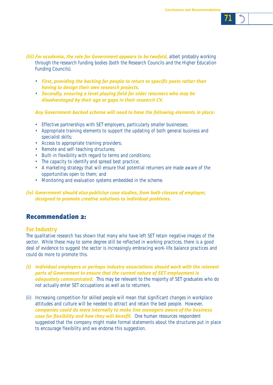

- *(iii) For academia, the role for Government appears to be twofold,* albeit probably working through the research funding bodies (both the Research Councils and the Higher Education Funding Councils).
	- *First, providing the backing for people to return to specific posts rather than having to design their own research projects.*
	- *Secondly, ensuring a level playing field for older returners who may be disadvantaged by their age or gaps in their research CV.*

#### *Any Government-backed scheme will need to have the following elements in place:*

- Effective partnerships with SET employers, particularly smaller businesses;
- Appropriate training elements to support the updating of both general business and specialist skills;
- Access to appropriate training providers;
- Remote and self-teaching structures;
- Built-in flexibility with regard to terms and conditions;
- The capacity to identify and spread best practice;
- A marketing strategy that will ensure that potential returners are made aware of the opportunities open to them; and
- Monitoring and evaluation systems embedded in the scheme.

#### *(iv) Government should also publicise case studies, from both classes of employer, designed to promote creative solutions to individual problems.*

## Recommendation 2:

#### **For Industry**

The qualitative research has shown that many who have left SET retain negative images of the sector. While these may to some degree still be reflected in working practices, there is a good deal of evidence to suggest the sector is increasingly embracing work-life balance practices and could do more to promote this.

- *(i) Individual employers or perhaps industry associations should work with the relevant parts of Government to ensure that the current nature of SET employment is adequately communicated.* This may be relevant to the majority of SET graduates who do not actually enter SET occupations as well as to returners.
- (ii) Increasing competition for skilled people will mean that significant changes in workplace attitudes and culture will be needed to attract and retain the best people. However, *companies could do more internally to make line managers aware of the business case for flexibility and how they will benefit.* One human resources respondent suggested that the company might make formal statements about the structures put in place to encourage flexibility and we endorse this suggestion.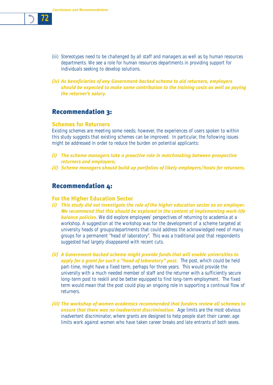

- (iii) Stereotypes need to be challenged by all staff and managers as well as by human resources departments. We see a role for human resources departments in providing support for individuals seeking to develop solutions.
- *(iv) As beneficiaries of any Government-backed scheme to aid returners, employers should be expected to make some contribution to the training costs as well as paying the returner's salary.*

## Recommendation 3:

#### **Schemes for Returners**

Existing schemes are meeting some needs; however, the experiences of users spoken to within this study suggests that existing schemes can be improved. In particular, the following issues might be addressed in order to reduce the burden on potential applicants:

- *(i) The scheme managers take a proactive role in matchmaking between prospective returners and employers;*
- *(ii) Scheme managers should build up portfolios of likely employers/hosts for returners.*

## Recommendation 4:

#### **For the Higher Education Sector**

- *(i) This study did not investigate the role of the higher education sector as an employer. We recommend that this should be explored in the content of implementing work-life* **balance policies**. We did explore employees' perspectives of returning to academia at a workshop. A suggestion at the workshop was for the development of a scheme targeted at university heads of groups/departments that could address the acknowledged need of many groups for a permanent "head of laboratory". This was a traditional post that respondents suggested had largely disappeared with recent cuts.
- *(ii) A Government-backed scheme might provide funds that will enable universities to* apply for a grant for such a "head of laboratory" post. The post, which could be held part-time, might have a fixed term, perhaps for three years. This would provide the university with a much needed member of staff and the returner with a sufficiently secure long-term post to reskill and be better equipped to find long-term employment. The fixed term would mean that the post could play an ongoing role in supporting a continual flow of returners.
- *(iii) The workshop of women academics recommended that funders review all schemes to* **ensure that there was no inadvertent discrimination.** Age limits are the most obvious inadvertent discriminator, where grants are designed to help people start their career, age limits work against women who have taken career breaks and late entrants of both sexes.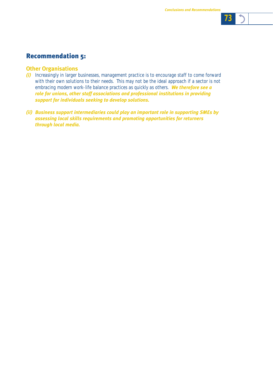

## Recommendation 5:

### **Other Organisations**

- *(i)* Increasingly in larger businesses, management practice is to encourage staff to come forward with their own solutions to their needs. This may not be the ideal approach if a sector is not embracing modern work-life balance practices as quickly as others. *We therefore see a role for unions, other staff associations and professional institutions in providing support for individuals seeking to develop solutions.*
- *(ii) Business support intermediaries could play an important role in supporting SMEs by assessing local skills requirements and promoting opportunities for returners through local media.*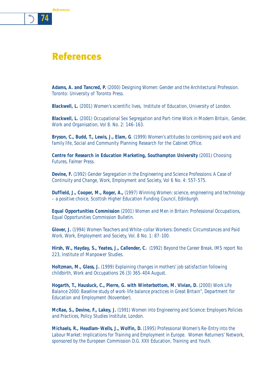

*74*

*References*

**Adams, A. and Tancred, P.** (2000) *Designing Women: Gender and the Architectural Profession.* Toronto: University of Toronto Press.

**Blackwell, L.** (2001) *Women's scientific lives,* Institute of Education, University of London.

**Blackwell, L.** (2001) *Occupational Sex Segregation and Part-time Work in Modern Britain,* Gender, Work and Organisation, Vol 8. No. 2: 146-163.

**Bryson, C., Budd, T., Lewis, J., Elam, G**. (1999) *Women's attitudes to combining paid work and family life,* Social and Community Planning Research for the Cabinet Office.

**Centre for Research in Education Marketing, Southampton University** (2001) *Choosing Futures,* Falmer Press.

**Devine, F.** (1992) *Gender Segregation in the Engineering and Science Professions: A Case of Continuity and Change,* Work, Employment and Society, Vol 6 No. 4: 557-575.

**Duffield, J., Cooper, M., Roger, A.,** (1997) *Winning Women: science, engineering and technology – a positive choice,* Scottish Higher Education Funding Council, Edinburgh.

**Equal Opportunities Commission** (2001) *Women and Men in Britain: Professional Occupations,* Equal Opportunities Commission Bulletin.

**Glover, J.** (1994) *Women Teachers and White-collar Workers: Domestic Circumstances and Paid Work*, Work, Employment and Society, Vol. 8 No. 1: 87-100.

**Hirsh, W., Hayday, S., Yeates, J., Callender, C.** (1992) *Beyond the Career Break,* IMS report No 223, Institute of Manpower Studies.

**Holtzman, M., Glass, J.** (1999) *Explaining changes in mothers' job satisfaction following childbirth,* Work and Occupations 26 (3) 365-404 August.

**Hogarth, T., Hausluck, C., Pierre, G. with Winterbottom, M. Vivian, D.** (2000) *Work Life Balance 2000: Baseline study of work-life balance practices in Great Britain",* Department for Education and Employment (November).

**McRae, S., Devine, F., Lakey, J.** (1991) *Women into Engineering and Science: Employers Policies and Practices,* Policy Studies Institute, London.

**Michaels, R., Headlam-Wells, J., Wolfin, D.** (1995) *Professional Women's Re-Entry into the Labour Market: Implications for Training and Employment in Europe.* Women Returners' Network, sponsored by the European Commission D.G. XXII Education, Training and Youth.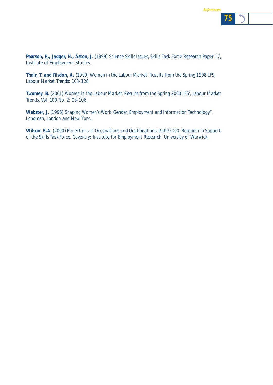*75*



**Thair, T. and Risdon, A.** (1999) *Women in the Labour Market: Results from the Spring 1998 LFS,* Labour Market Trends: 103-128.

**Twomey, B.** (2001) *Women in the Labour Market: Results from the Spring 2000 LFS',* Labour Market Trends, Vol. 109 No. 2: 93-106.

**Webster, J.** (1996) *Shaping Women's Work: Gender, Employment and Information Technology"*. Longman, London and New York.

**Wilson, R.A.** (2000) *Projections of Occupations and Qualifications 1999/2000: Research in Support of the Skills Task Force.* Coventry: Institute for Employment Research, University of Warwick.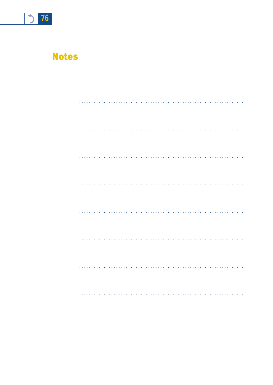

# **Notes**